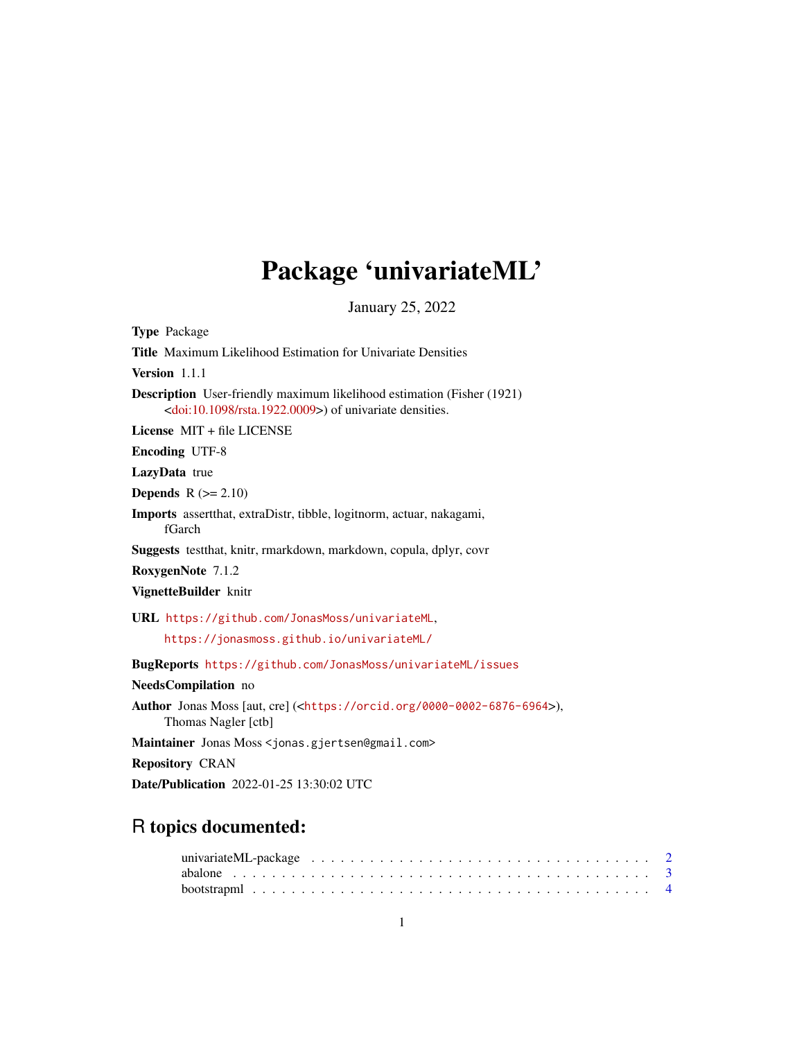# Package 'univariateML'

January 25, 2022

<span id="page-0-0"></span>

| <b>Type Package</b>                                                                                                                                      |
|----------------------------------------------------------------------------------------------------------------------------------------------------------|
| <b>Title</b> Maximum Likelihood Estimation for Univariate Densities                                                                                      |
| Version 1.1.1                                                                                                                                            |
| <b>Description</b> User-friendly maximum likelihood estimation (Fisher (1921)<br><doi:10.1098 rsta.1922.0009="">) of univariate densities.</doi:10.1098> |
| License MIT + file LICENSE                                                                                                                               |
| <b>Encoding UTF-8</b>                                                                                                                                    |
| LazyData true                                                                                                                                            |
| <b>Depends</b> $R (= 2.10)$                                                                                                                              |
| <b>Imports</b> assert that, extraDistr, tibble, logit norm, actuar, nakagami,<br>fGarch                                                                  |
| Suggests test that, knitr, rmarkdown, markdown, copula, dplyr, covr                                                                                      |
| RoxygenNote 7.1.2                                                                                                                                        |
| VignetteBuilder knitr                                                                                                                                    |
| URL https://github.com/JonasMoss/univariateML,                                                                                                           |
| https://jonasmoss.github.io/univariateML/                                                                                                                |
| <b>BugReports</b> https://github.com/JonasMoss/univariateML/issues                                                                                       |
| NeedsCompilation no                                                                                                                                      |
| <b>Author</b> Jonas Moss [aut, cre] ( <https: 0000-0002-6876-6964="" orcid.org="">),<br/>Thomas Nagler [ctb]</https:>                                    |
| Maintainer Jonas Moss < jonas.gjertsen@gmail.com>                                                                                                        |
| <b>Repository CRAN</b>                                                                                                                                   |
| <b>Date/Publication</b> 2022-01-25 13:30:02 UTC                                                                                                          |

## R topics documented: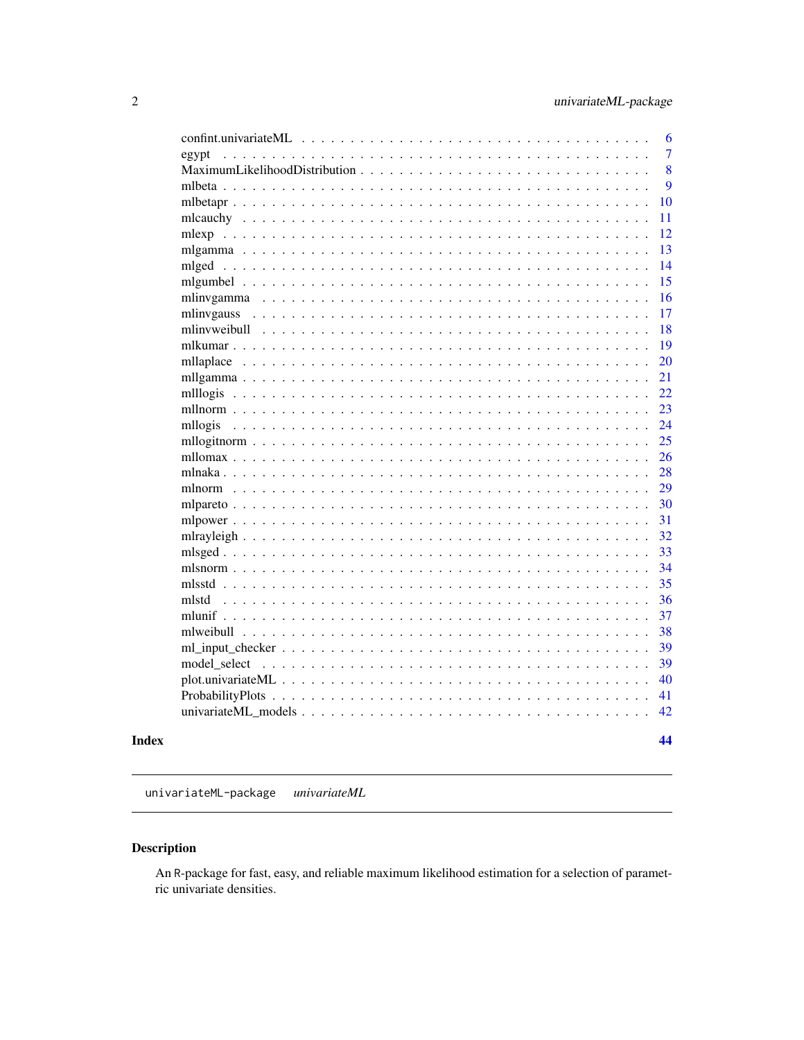<span id="page-1-0"></span>

| 6                                                                                                     |
|-------------------------------------------------------------------------------------------------------|
| $\overline{7}$<br>egypt<br>$\ddot{\phantom{0}}$<br>$\ddot{\phantom{1}}$                               |
| 8<br>$\sim$ $\sim$                                                                                    |
| 9                                                                                                     |
| 10<br>mlbetapr. $\ldots$ . $\ldots$ .                                                                 |
| 11<br>mlcauchy<br>$\ddot{\phantom{1}}$<br>$\sim$ $\sim$ $\sim$ $\sim$                                 |
| 12<br>mlexp                                                                                           |
| 13                                                                                                    |
| 14<br>$mlged \dots \dots$<br>$\ddots$<br>$\ddot{\phantom{0}}$                                         |
| 15<br>$\ddot{\phantom{0}}$                                                                            |
| 16<br>mlinygamma<br>$\mathbf{r}$<br>$\mathbf{r}$                                                      |
| 17<br>mlinvgauss                                                                                      |
| 18                                                                                                    |
| 19<br>mlkumar $\ldots$ $\ldots$<br>$\ddot{\phantom{0}}$                                               |
| 20                                                                                                    |
| 21<br>$\ddotsc$                                                                                       |
| 22<br>mll $logis$<br>$\ddots$<br>$\ddot{\phantom{a}}$<br>$\ddot{\phantom{a}}$                         |
| 23<br>mllnorm $\ldots$ .<br>$\cdots$                                                                  |
| 24<br>mllogis<br>$\mathbf{r}$<br>$\ddots$                                                             |
| 25                                                                                                    |
| 26                                                                                                    |
| 28                                                                                                    |
| 29                                                                                                    |
| 30                                                                                                    |
| 31                                                                                                    |
| 32                                                                                                    |
| 33                                                                                                    |
| 34                                                                                                    |
| 35                                                                                                    |
| 36<br>mlstd<br>$\cdots$                                                                               |
| mlunif $\ldots$<br>37<br>$\ddotsc$<br>$\sim$ $\sim$                                                   |
| 38<br>mlweibull<br>$\mathbf{r}$<br>$\ddot{\phantom{a}}$<br>$\ddot{\phantom{a}}$<br>.                  |
| 39                                                                                                    |
| 39<br>model select<br>$\sim$ 100 km s $^{-1}$ .<br>.                                                  |
| 40<br>plot.univariateML                                                                               |
| 41                                                                                                    |
| 42<br>univariateML_models<br>$\overline{\phantom{a}}$<br>$\ddot{\phantom{a}}$<br>$\ddot{\phantom{a}}$ |
|                                                                                                       |
| 44                                                                                                    |

### **Index**

univariateML-package univariateML

## Description

An R-package for fast, easy, and reliable maximum likelihood estimation for a selection of parametric univariate densities.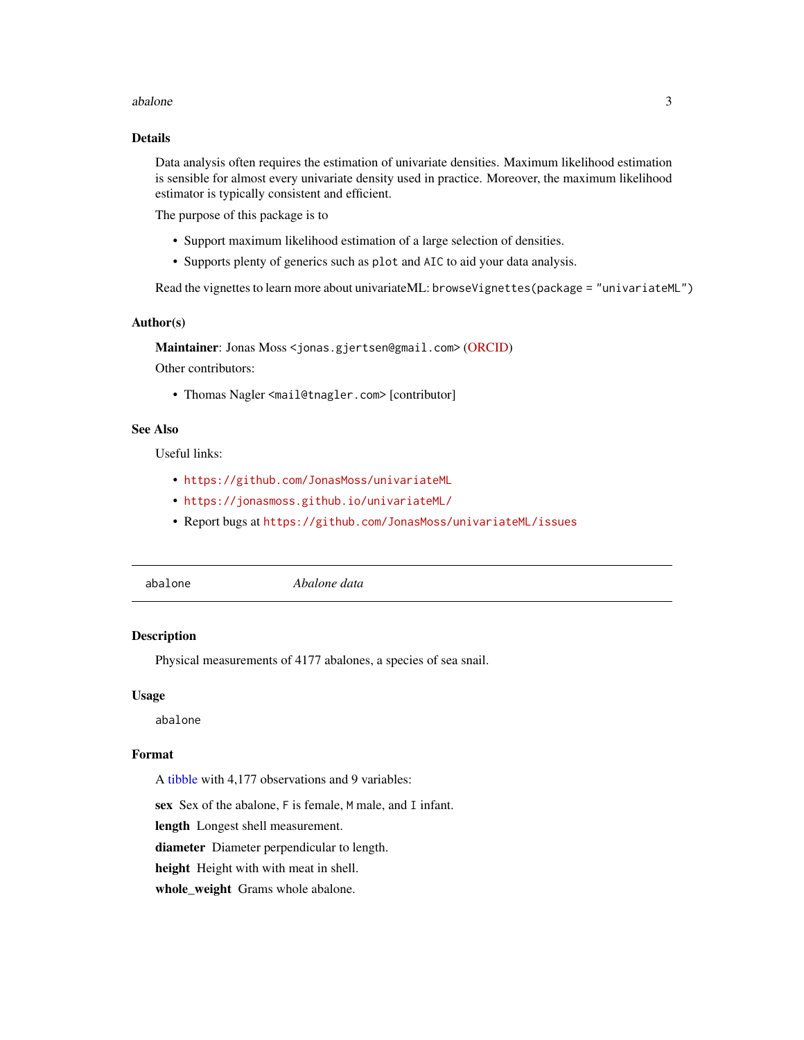#### <span id="page-2-0"></span>abalone 3

### Details

Data analysis often requires the estimation of univariate densities. Maximum likelihood estimation is sensible for almost every univariate density used in practice. Moreover, the maximum likelihood estimator is typically consistent and efficient.

The purpose of this package is to

- Support maximum likelihood estimation of a large selection of densities.
- Supports plenty of generics such as plot and AIC to aid your data analysis.

Read the vignettes to learn more about univariateML: browseVignettes(package = "univariateML")

#### Author(s)

Maintainer: Jonas Moss <jonas.gjertsen@gmail.com> [\(ORCID\)](https://orcid.org/0000-0002-6876-6964) Other contributors:

• Thomas Nagler <mail@tnagler.com> [contributor]

### See Also

Useful links:

- <https://github.com/JonasMoss/univariateML>
- <https://jonasmoss.github.io/univariateML/>
- Report bugs at <https://github.com/JonasMoss/univariateML/issues>
- 

abalone *Abalone data*

#### **Description**

Physical measurements of 4177 abalones, a species of sea snail.

#### Usage

abalone

#### Format

A [tibble](#page-0-0) with 4,177 observations and 9 variables:

sex Sex of the abalone, F is female, M male, and I infant.

length Longest shell measurement.

diameter Diameter perpendicular to length.

height Height with with meat in shell.

whole\_weight Grams whole abalone.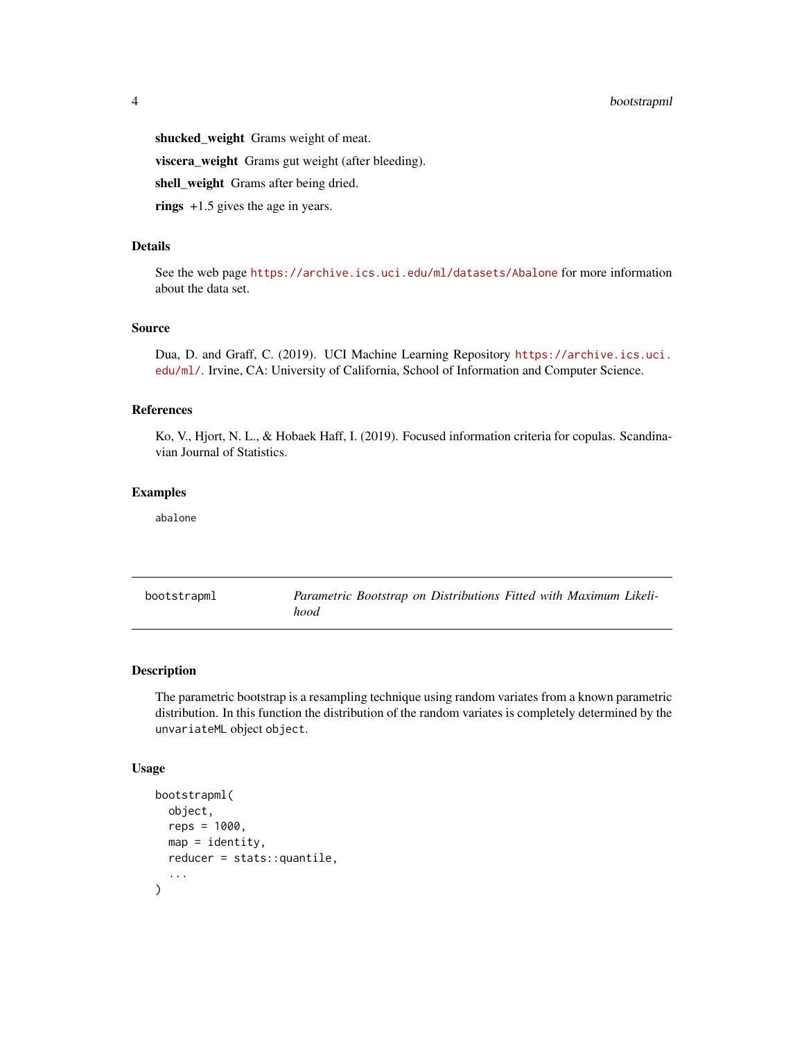### <span id="page-3-0"></span>4 bootstrapml

shucked\_weight Grams weight of meat.

viscera\_weight Grams gut weight (after bleeding).

shell\_weight Grams after being dried.

rings +1.5 gives the age in years.

### Details

See the web page <https://archive.ics.uci.edu/ml/datasets/Abalone> for more information about the data set.

#### Source

Dua, D. and Graff, C. (2019). UCI Machine Learning Repository [https://archive.ics.uci.](https://archive.ics.uci.edu/ml/) [edu/ml/](https://archive.ics.uci.edu/ml/). Irvine, CA: University of California, School of Information and Computer Science.

### References

Ko, V., Hjort, N. L., & Hobaek Haff, I. (2019). Focused information criteria for copulas. Scandinavian Journal of Statistics.

#### Examples

abalone

<span id="page-3-1"></span>bootstrapml *Parametric Bootstrap on Distributions Fitted with Maximum Likelihood*

### Description

The parametric bootstrap is a resampling technique using random variates from a known parametric distribution. In this function the distribution of the random variates is completely determined by the unvariateML object object.

#### Usage

```
bootstrapml(
  object,
  reps = 1000,map = identity,
 reducer = stats::quantile,
  ...
)
```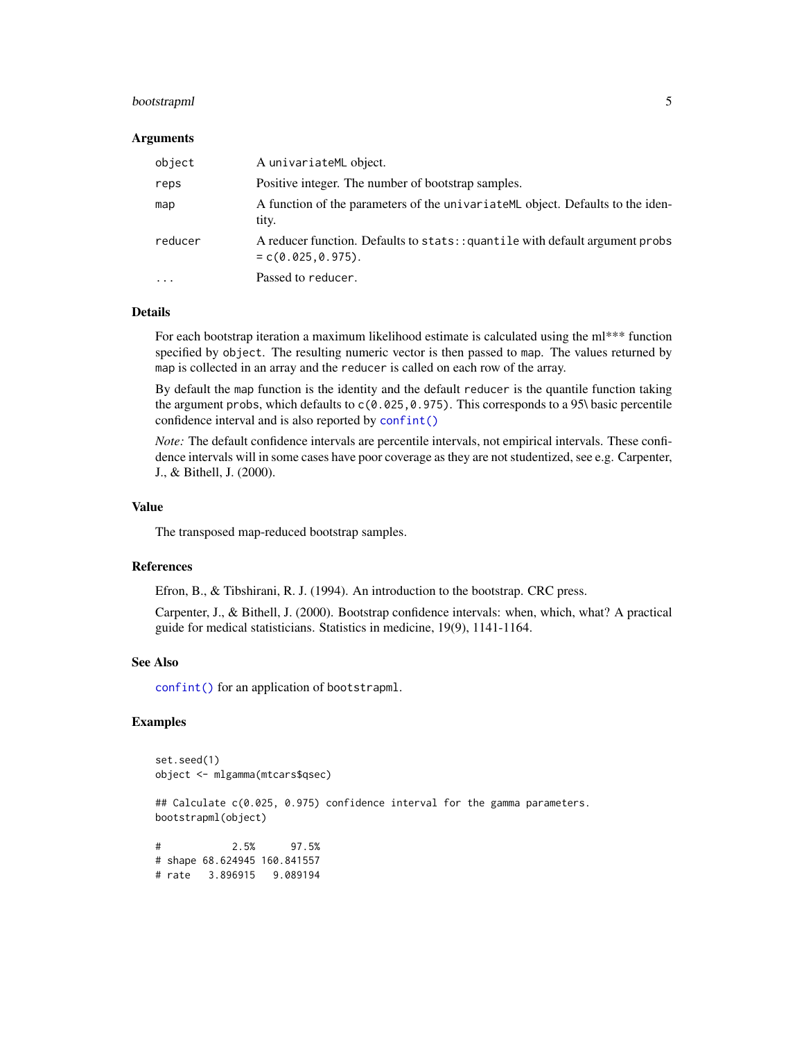### <span id="page-4-0"></span>bootstrapml 5

#### Arguments

| object  | A univariateML object.                                                                               |
|---------|------------------------------------------------------------------------------------------------------|
| reps    | Positive integer. The number of bootstrap samples.                                                   |
| map     | A function of the parameters of the univariate ML object. Defaults to the iden-<br>tity.             |
| reducer | A reducer function. Defaults to stats:: quantile with default argument probs<br>$= c(0.025, 0.975).$ |
| .       | Passed to reducer.                                                                                   |

#### Details

For each bootstrap iteration a maximum likelihood estimate is calculated using the ml\*\*\* function specified by object. The resulting numeric vector is then passed to map. The values returned by map is collected in an array and the reducer is called on each row of the array.

By default the map function is the identity and the default reducer is the quantile function taking the argument probs, which defaults to  $c(0.025, 0.975)$ . This corresponds to a 95\ basic percentile confidence interval and is also reported by [confint\(\)](#page-0-0)

*Note:* The default confidence intervals are percentile intervals, not empirical intervals. These confidence intervals will in some cases have poor coverage as they are not studentized, see e.g. Carpenter, J., & Bithell, J. (2000).

### Value

The transposed map-reduced bootstrap samples.

#### References

Efron, B., & Tibshirani, R. J. (1994). An introduction to the bootstrap. CRC press.

Carpenter, J., & Bithell, J. (2000). Bootstrap confidence intervals: when, which, what? A practical guide for medical statisticians. Statistics in medicine, 19(9), 1141-1164.

#### See Also

[confint\(\)](#page-0-0) for an application of bootstrapml.

### Examples

```
set.seed(1)
object <- mlgamma(mtcars$qsec)
## Calculate c(0.025, 0.975) confidence interval for the gamma parameters.
bootstrapml(object)
# 2.5% 97.5%
# shape 68.624945 160.841557
# rate 3.896915 9.089194
```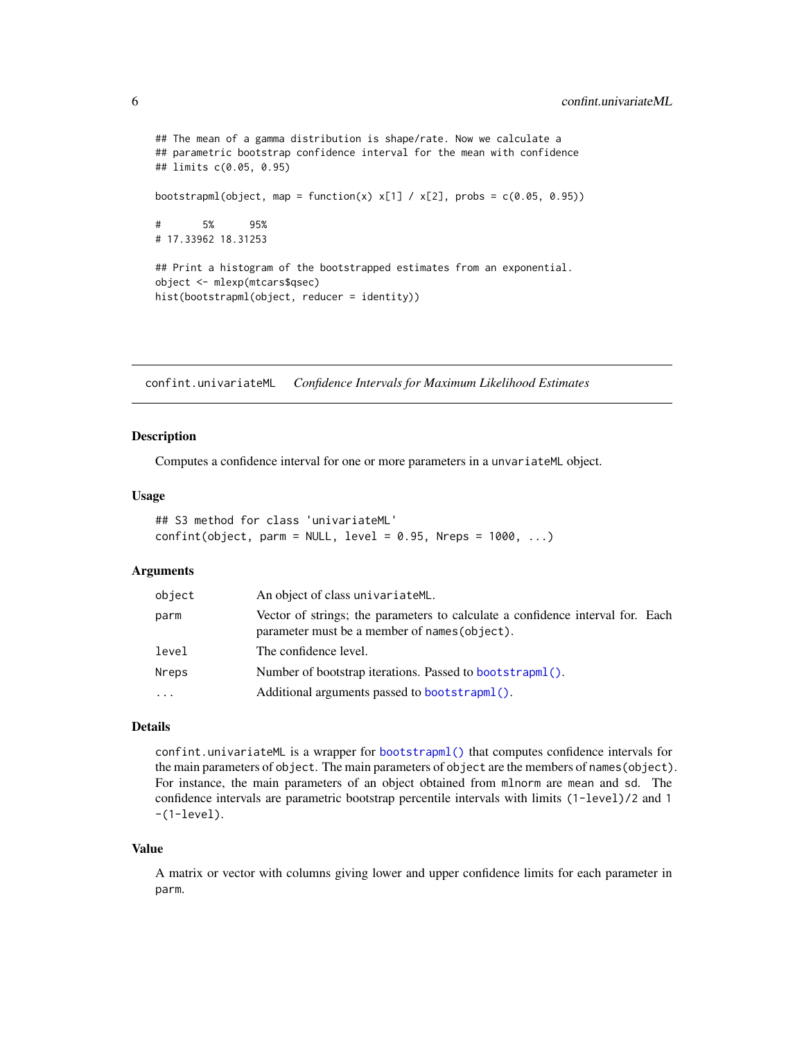```
## The mean of a gamma distribution is shape/rate. Now we calculate a
## parametric bootstrap confidence interval for the mean with confidence
## limits c(0.05, 0.95)
bootstrapml(object, map = function(x) x[1] / x[2], probs = c(0.05, 0.95))
# 5% 95%
# 17.33962 18.31253
## Print a histogram of the bootstrapped estimates from an exponential.
object <- mlexp(mtcars$qsec)
hist(bootstrapml(object, reducer = identity))
```
confint.univariateML *Confidence Intervals for Maximum Likelihood Estimates*

#### Description

Computes a confidence interval for one or more parameters in a unvariateML object.

### Usage

```
## S3 method for class 'univariateML'
confint(object, parm = NULL, level = 0.95, Nreps = 1000, ...)
```
#### Arguments

| object | An object of class univariateML.                                                                                                |
|--------|---------------------------------------------------------------------------------------------------------------------------------|
| parm   | Vector of strings; the parameters to calculate a confidence interval for. Each<br>parameter must be a member of names (object). |
| level  | The confidence level.                                                                                                           |
| Nreps  | Number of bootstrap iterations. Passed to bootstrapml().                                                                        |
| .      | Additional arguments passed to bootstrapml().                                                                                   |

### Details

confint.univariateML is a wrapper for [bootstrapml\(\)](#page-3-1) that computes confidence intervals for the main parameters of object. The main parameters of object are the members of names(object). For instance, the main parameters of an object obtained from mlnorm are mean and sd. The confidence intervals are parametric bootstrap percentile intervals with limits (1-level)/2 and 1  $-(1$ -level).

#### Value

A matrix or vector with columns giving lower and upper confidence limits for each parameter in parm.

<span id="page-5-0"></span>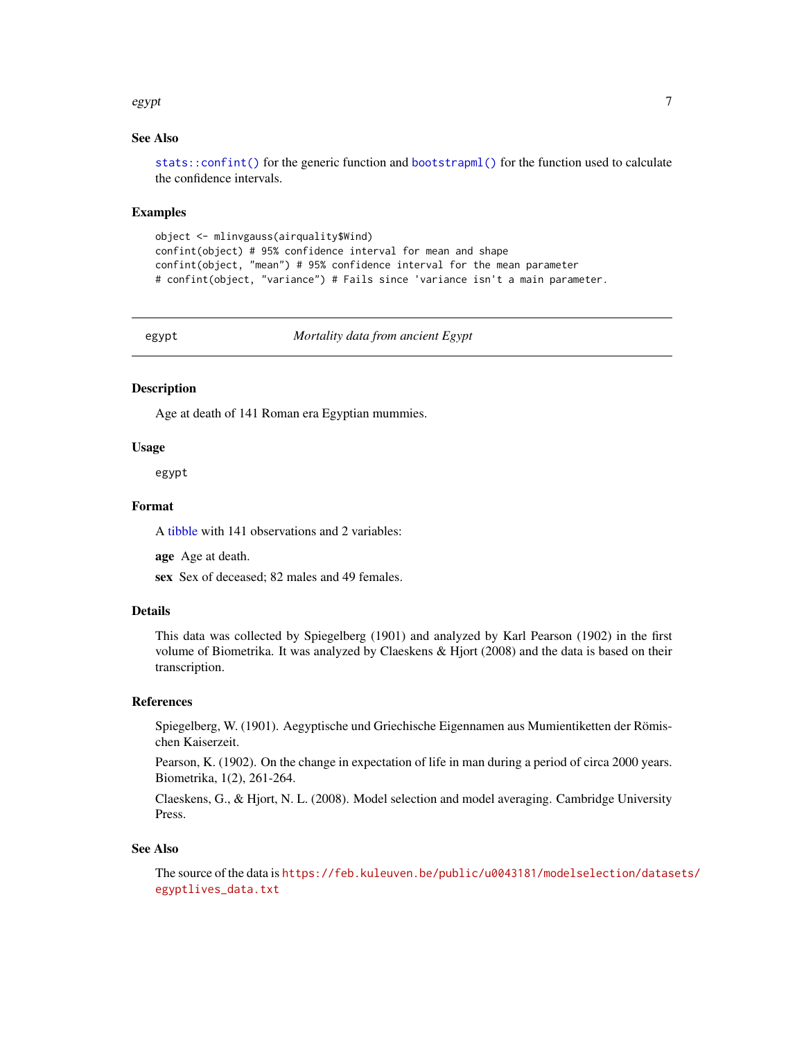#### <span id="page-6-0"></span>egypt 7 and 2008 and 2008 and 2008 and 2008 and 2008 and 2008 and 2008 and 2008 and 2008 and 2008 and 2008 and

### See Also

[stats::confint\(\)](#page-0-0) for the generic function and [bootstrapml\(\)](#page-3-1) for the function used to calculate the confidence intervals.

#### Examples

```
object <- mlinvgauss(airquality$Wind)
confint(object) # 95% confidence interval for mean and shape
confint(object, "mean") # 95% confidence interval for the mean parameter
# confint(object, "variance") # Fails since 'variance isn't a main parameter.
```
egypt *Mortality data from ancient Egypt*

#### Description

Age at death of 141 Roman era Egyptian mummies.

#### Usage

egypt

### Format

A [tibble](#page-0-0) with 141 observations and 2 variables:

age Age at death.

sex Sex of deceased; 82 males and 49 females.

### Details

This data was collected by Spiegelberg (1901) and analyzed by Karl Pearson (1902) in the first volume of Biometrika. It was analyzed by Claeskens & Hjort (2008) and the data is based on their transcription.

### References

Spiegelberg, W. (1901). Aegyptische und Griechische Eigennamen aus Mumientiketten der Römischen Kaiserzeit.

Pearson, K. (1902). On the change in expectation of life in man during a period of circa 2000 years. Biometrika, 1(2), 261-264.

Claeskens, G., & Hjort, N. L. (2008). Model selection and model averaging. Cambridge University Press.

#### See Also

The source of the data is [https://feb.kuleuven.be/public/u0043181/modelselection/datas](https://feb.kuleuven.be/public/u0043181/modelselection/datasets/egyptlives_data.txt)ets/ [egyptlives\\_data.txt](https://feb.kuleuven.be/public/u0043181/modelselection/datasets/egyptlives_data.txt)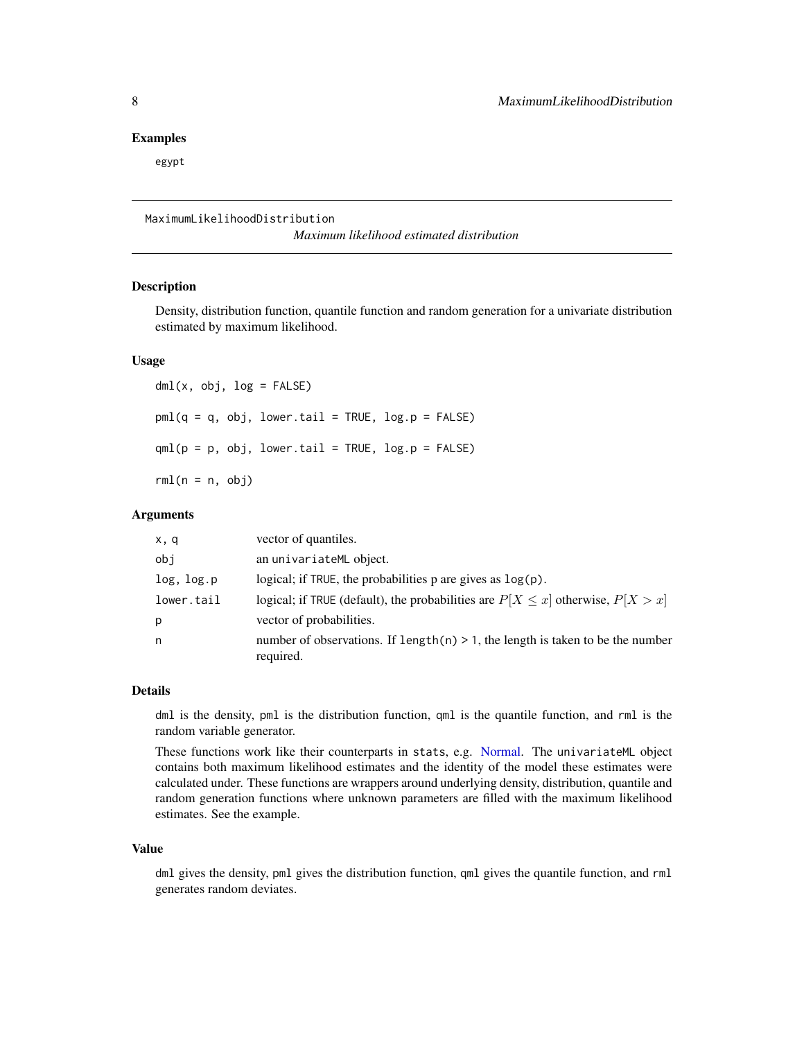#### <span id="page-7-0"></span>Examples

egypt

### MaximumLikelihoodDistribution

*Maximum likelihood estimated distribution*

#### Description

Density, distribution function, quantile function and random generation for a univariate distribution estimated by maximum likelihood.

#### Usage

 $dml(x, obj, log = FALSE)$  $pml(q = q, obj, lower.tail = TRUE, log.p = FALSE)$  $qml(p = p, obj, lower.tail = TRUE, log.p = FALSE)$  $rml(n = n, obj)$ 

#### Arguments

| x, q       | vector of quantiles.                                                                           |
|------------|------------------------------------------------------------------------------------------------|
| obi        | an univariateML object.                                                                        |
| log, log.p | logical; if TRUE, the probabilities $p$ are gives as $\log(p)$ .                               |
| lower.tail | logical; if TRUE (default), the probabilities are $P[X \le x]$ otherwise, $P[X > x]$           |
| р          | vector of probabilities.                                                                       |
| n          | number of observations. If $length(n) > 1$ , the length is taken to be the number<br>required. |

#### Details

dml is the density, pml is the distribution function, qml is the quantile function, and rml is the random variable generator.

These functions work like their counterparts in stats, e.g. [Normal.](#page-0-0) The univariateML object contains both maximum likelihood estimates and the identity of the model these estimates were calculated under. These functions are wrappers around underlying density, distribution, quantile and random generation functions where unknown parameters are filled with the maximum likelihood estimates. See the example.

#### Value

dml gives the density, pml gives the distribution function, qml gives the quantile function, and rml generates random deviates.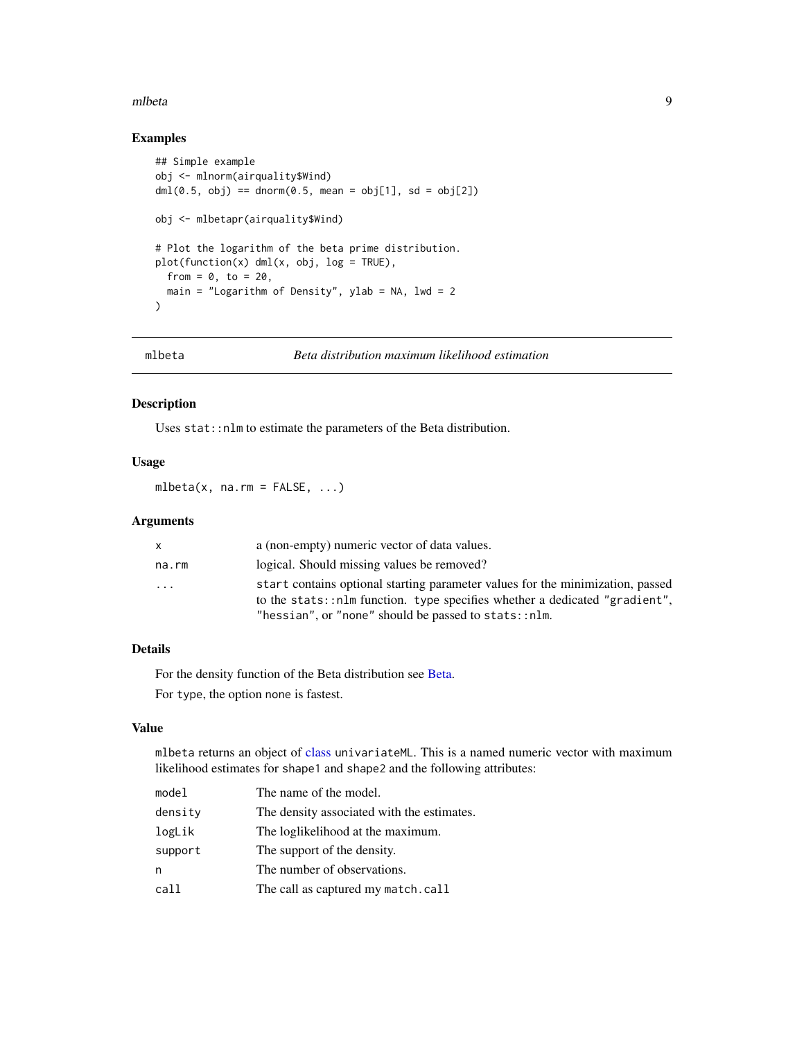#### <span id="page-8-0"></span>mlbeta 9

### Examples

```
## Simple example
obj <- mlnorm(airquality$Wind)
dml(0.5, obj) == domr(0.5, mean = obj[1], sd = obj[2])obj <- mlbetapr(airquality$Wind)
# Plot the logarithm of the beta prime distribution.
plot(function(x) dml(x, obj, log = TRUE),from = 0, to = 20,
 main = "Logarithm of Density", ylab = NA, lwd = 2
)
```
<span id="page-8-1"></span>

```
mlbeta Beta distribution maximum likelihood estimation
```
### Description

Uses stat::nlm to estimate the parameters of the Beta distribution.

### Usage

mlbeta $(x, na.rm = FALSE, ...)$ 

### Arguments

| X        | a (non-empty) numeric vector of data values.                                                                                                                                                                         |
|----------|----------------------------------------------------------------------------------------------------------------------------------------------------------------------------------------------------------------------|
| na.rm    | logical. Should missing values be removed?                                                                                                                                                                           |
| $\cdots$ | start contains optional starting parameter values for the minimization, passed<br>to the stats::nlm function. type specifies whether a dedicated "gradient".<br>"hessian", or "none" should be passed to stats::nlm. |

### Details

For the density function of the Beta distribution see [Beta.](#page-0-0)

For type, the option none is fastest.

### Value

mlbeta returns an object of [class](#page-0-0) univariateML. This is a named numeric vector with maximum likelihood estimates for shape1 and shape2 and the following attributes:

| model   | The name of the model.                     |
|---------|--------------------------------------------|
| density | The density associated with the estimates. |
| logLik  | The loglikelihood at the maximum.          |
| support | The support of the density.                |
| n       | The number of observations.                |
| call    | The call as captured my match.call         |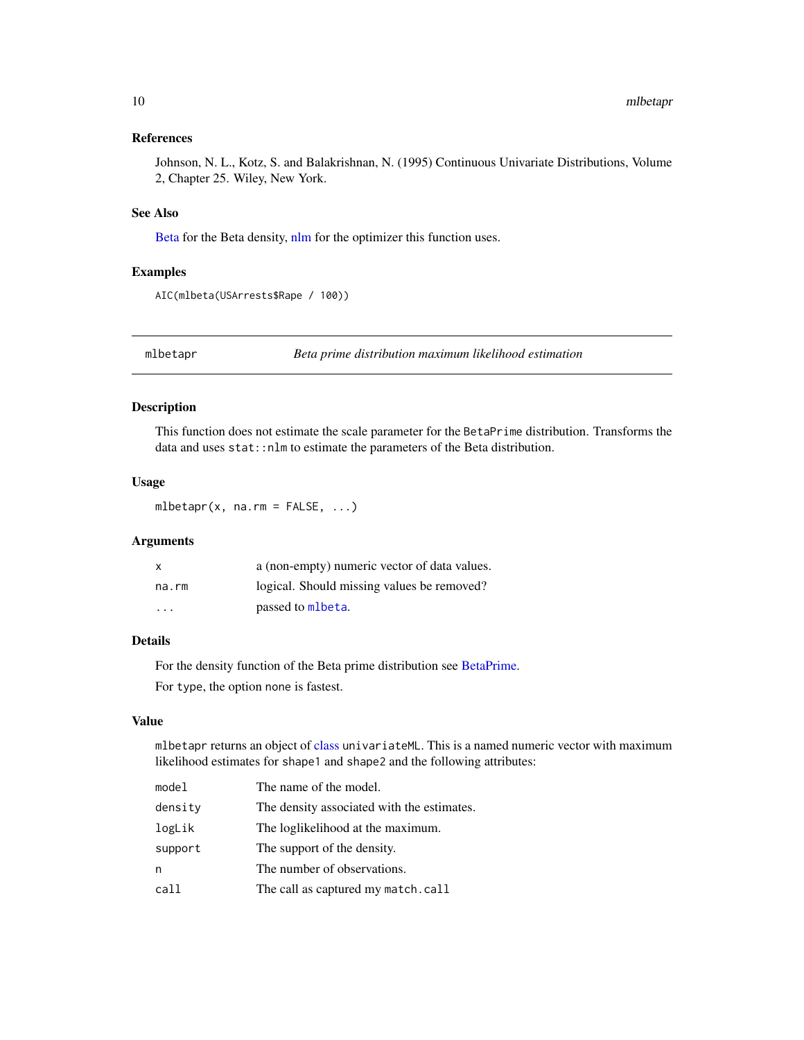### <span id="page-9-0"></span>References

Johnson, N. L., Kotz, S. and Balakrishnan, N. (1995) Continuous Univariate Distributions, Volume 2, Chapter 25. Wiley, New York.

### See Also

[Beta](#page-0-0) for the Beta density, [nlm](#page-0-0) for the optimizer this function uses.

#### Examples

```
AIC(mlbeta(USArrests$Rape / 100))
```
mlbetapr *Beta prime distribution maximum likelihood estimation*

### Description

This function does not estimate the scale parameter for the BetaPrime distribution. Transforms the data and uses stat: : nlm to estimate the parameters of the Beta distribution.

#### Usage

mlbetapr $(x, \text{na.m = FALSE}, \ldots)$ 

### Arguments

| X     | a (non-empty) numeric vector of data values. |
|-------|----------------------------------------------|
| na.rm | logical. Should missing values be removed?   |
| .     | passed to mlbeta.                            |

#### Details

For the density function of the Beta prime distribution see [BetaPrime.](#page-0-0) For type, the option none is fastest.

#### Value

mlbetapr returns an object of [class](#page-0-0) univariateML. This is a named numeric vector with maximum likelihood estimates for shape1 and shape2 and the following attributes:

| model   | The name of the model.                     |
|---------|--------------------------------------------|
| density | The density associated with the estimates. |
| logLik  | The loglikelihood at the maximum.          |
| support | The support of the density.                |
| n       | The number of observations.                |
| call    | The call as captured my match.call         |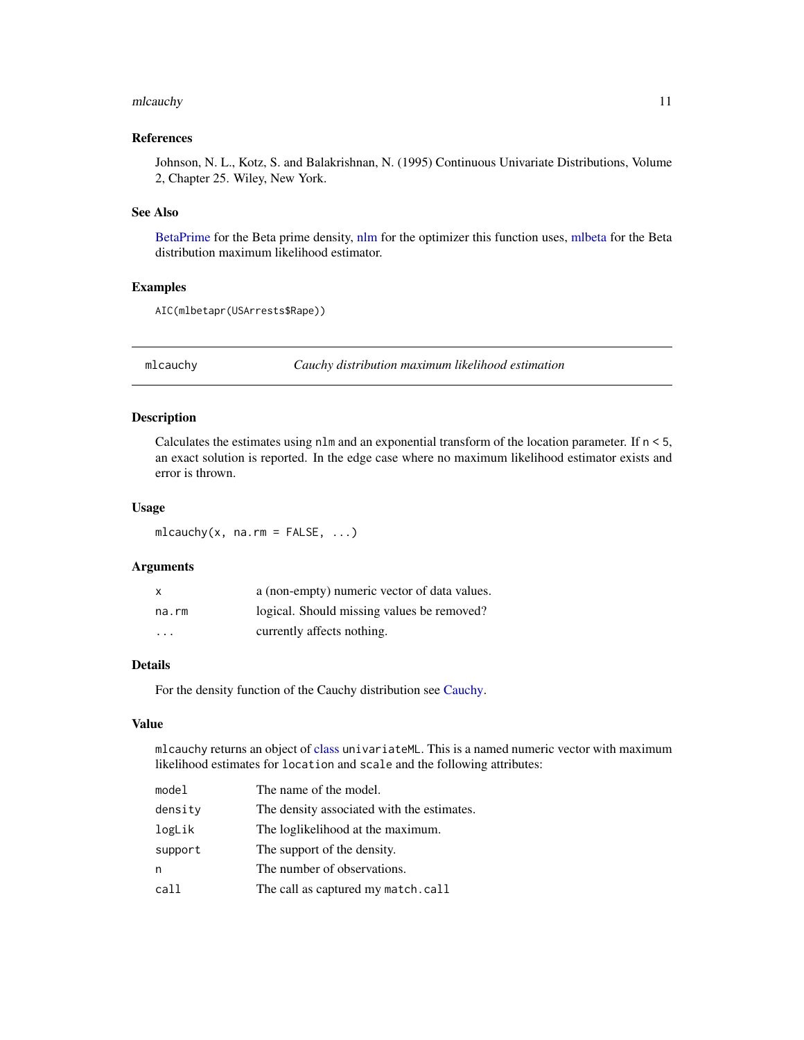#### <span id="page-10-0"></span>mlcauchy and the contract of the contract of the contract of the contract of the contract of the contract of the contract of the contract of the contract of the contract of the contract of the contract of the contract of t

### References

Johnson, N. L., Kotz, S. and Balakrishnan, N. (1995) Continuous Univariate Distributions, Volume 2, Chapter 25. Wiley, New York.

#### See Also

[BetaPrime](#page-0-0) for the Beta prime density, [nlm](#page-0-0) for the optimizer this function uses, [mlbeta](#page-8-1) for the Beta distribution maximum likelihood estimator.

#### Examples

```
AIC(mlbetapr(USArrests$Rape))
```
mlcauchy *Cauchy distribution maximum likelihood estimation*

#### Description

Calculates the estimates using nlm and an exponential transform of the location parameter. If  $n < 5$ , an exact solution is reported. In the edge case where no maximum likelihood estimator exists and error is thrown.

#### Usage

 $mlcauchy(x, na.rm = FALSE, ...)$ 

#### Arguments

| X       | a (non-empty) numeric vector of data values. |
|---------|----------------------------------------------|
| na.rm   | logical. Should missing values be removed?   |
| $\cdot$ | currently affects nothing.                   |

### Details

For the density function of the Cauchy distribution see [Cauchy.](#page-0-0)

#### Value

mlcauchy returns an object of [class](#page-0-0) univariateML. This is a named numeric vector with maximum likelihood estimates for location and scale and the following attributes:

| model   | The name of the model.                     |
|---------|--------------------------------------------|
| density | The density associated with the estimates. |
| logLik  | The loglikelihood at the maximum.          |
| support | The support of the density.                |
| n       | The number of observations.                |
| call    | The call as captured my match.call         |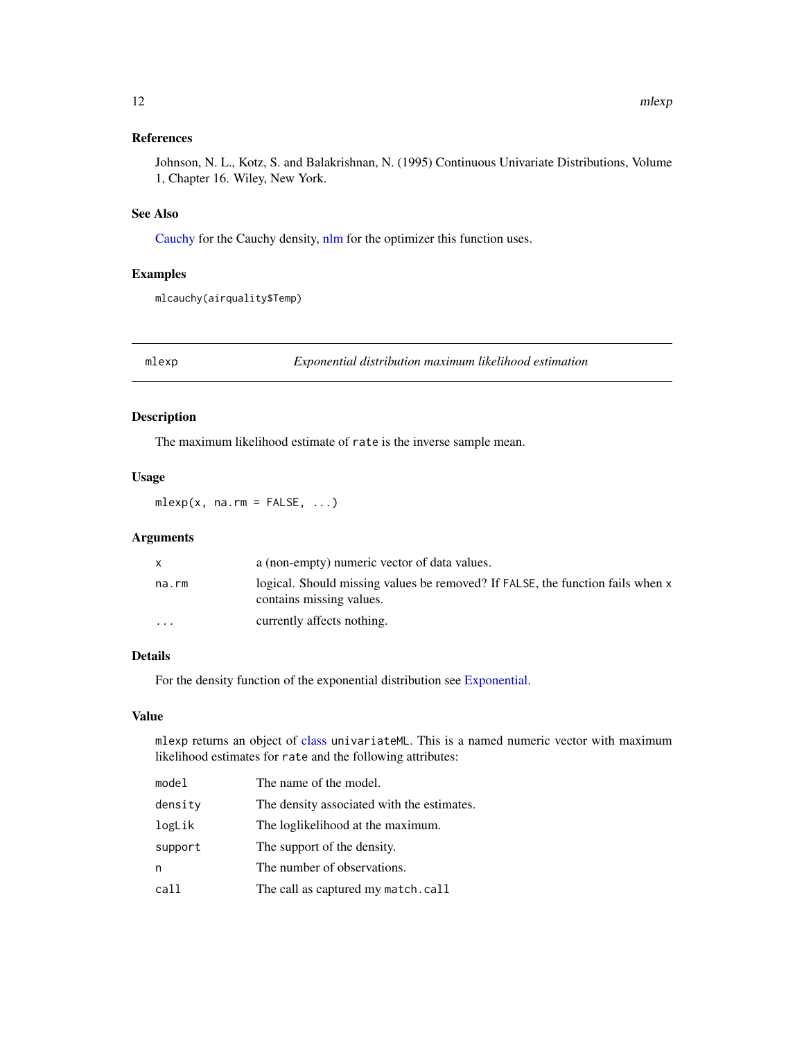<span id="page-11-0"></span>Johnson, N. L., Kotz, S. and Balakrishnan, N. (1995) Continuous Univariate Distributions, Volume 1, Chapter 16. Wiley, New York.

#### See Also

[Cauchy](#page-0-0) for the Cauchy density, [nlm](#page-0-0) for the optimizer this function uses.

### Examples

mlcauchy(airquality\$Temp)

mlexp *Exponential distribution maximum likelihood estimation*

#### Description

The maximum likelihood estimate of rate is the inverse sample mean.

### Usage

 $mlexp(x, na.rm = FALSE, ...)$ 

### Arguments

|                         | a (non-empty) numeric vector of data values.                                                               |
|-------------------------|------------------------------------------------------------------------------------------------------------|
| na.rm                   | logical. Should missing values be removed? If FALSE, the function fails when x<br>contains missing values. |
| $\cdot$ $\cdot$ $\cdot$ | currently affects nothing.                                                                                 |

#### Details

For the density function of the exponential distribution see [Exponential.](#page-0-0)

#### Value

mlexp returns an object of [class](#page-0-0) univariateML. This is a named numeric vector with maximum likelihood estimates for rate and the following attributes:

| model   | The name of the model.                     |
|---------|--------------------------------------------|
| density | The density associated with the estimates. |
| logLik  | The loglikelihood at the maximum.          |
| support | The support of the density.                |
| n       | The number of observations.                |
| call    | The call as captured my match.call         |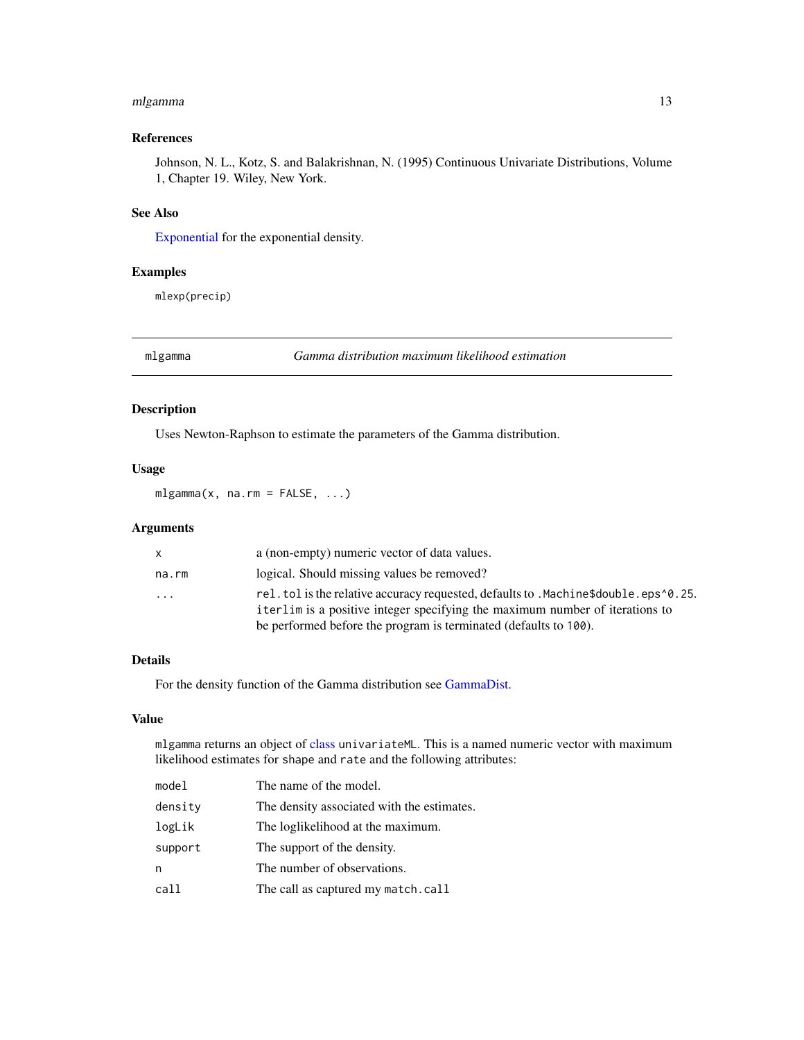#### <span id="page-12-0"></span>mlgamma 13

### References

Johnson, N. L., Kotz, S. and Balakrishnan, N. (1995) Continuous Univariate Distributions, Volume 1, Chapter 19. Wiley, New York.

### See Also

[Exponential](#page-0-0) for the exponential density.

### Examples

mlexp(precip)

<span id="page-12-1"></span>mlgamma *Gamma distribution maximum likelihood estimation*

#### Description

Uses Newton-Raphson to estimate the parameters of the Gamma distribution.

### Usage

 $mlgamma(x, na.rm = FALSE, ...)$ 

### Arguments

| $\mathsf{x}$ | a (non-empty) numeric vector of data values.                                                                                                                                         |
|--------------|--------------------------------------------------------------------------------------------------------------------------------------------------------------------------------------|
| na.rm        | logical. Should missing values be removed?                                                                                                                                           |
| .            | rel. tol is the relative accuracy requested, defaults to . Machine \$double. eps $\textdegree$ 0.25.<br>iterlim is a positive integer specifying the maximum number of iterations to |
|              | be performed before the program is terminated (defaults to 100).                                                                                                                     |

### Details

For the density function of the Gamma distribution see [GammaDist.](#page-0-0)

### Value

mlgamma returns an object of [class](#page-0-0) univariateML. This is a named numeric vector with maximum likelihood estimates for shape and rate and the following attributes:

| model   | The name of the model.                     |
|---------|--------------------------------------------|
| density | The density associated with the estimates. |
| logLik  | The loglikelihood at the maximum.          |
| support | The support of the density.                |
| n       | The number of observations.                |
| call    | The call as captured my match.call         |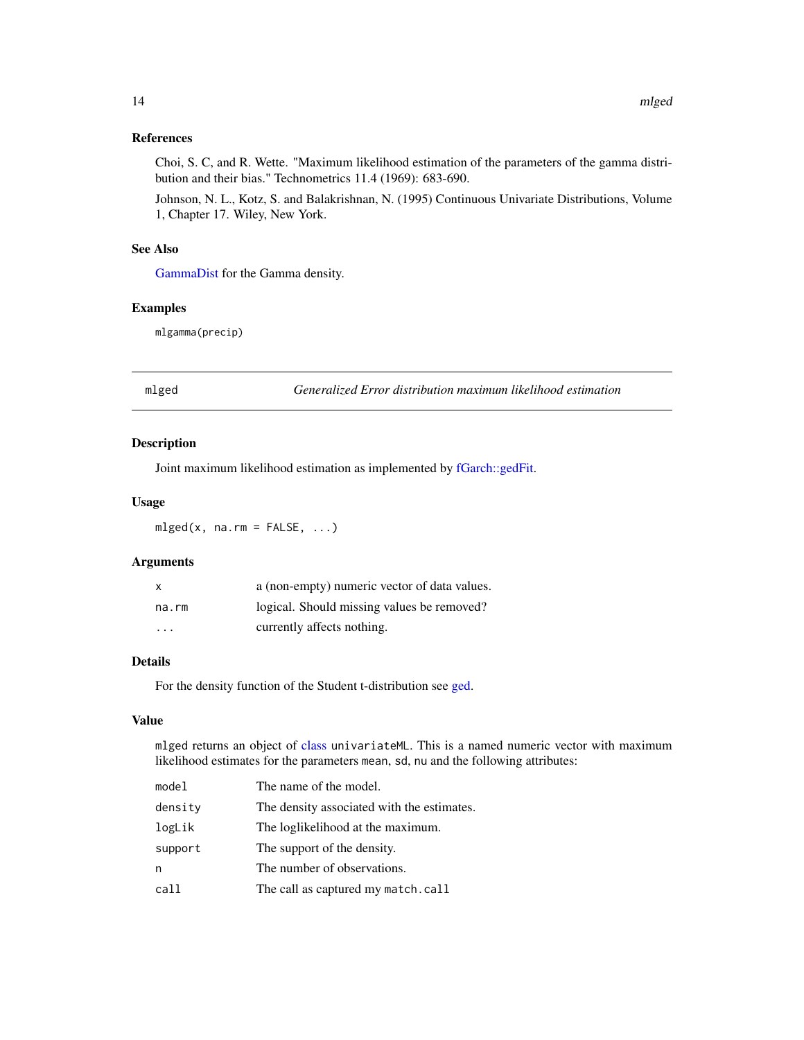#### <span id="page-13-0"></span>References

Choi, S. C, and R. Wette. "Maximum likelihood estimation of the parameters of the gamma distribution and their bias." Technometrics 11.4 (1969): 683-690.

Johnson, N. L., Kotz, S. and Balakrishnan, N. (1995) Continuous Univariate Distributions, Volume 1, Chapter 17. Wiley, New York.

#### See Also

[GammaDist](#page-0-0) for the Gamma density.

#### Examples

mlgamma(precip)

mlged *Generalized Error distribution maximum likelihood estimation*

#### Description

Joint maximum likelihood estimation as implemented by [fGarch::gedFit.](#page-0-0)

### Usage

 $mlged(x, na.rm = FALSE, ...)$ 

### Arguments

| X                       | a (non-empty) numeric vector of data values. |
|-------------------------|----------------------------------------------|
| na.rm                   | logical. Should missing values be removed?   |
| $\cdot$ $\cdot$ $\cdot$ | currently affects nothing.                   |

#### Details

For the density function of the Student t-distribution see [ged.](#page-0-0)

#### Value

mlged returns an object of [class](#page-0-0) univariateML. This is a named numeric vector with maximum likelihood estimates for the parameters mean, sd, nu and the following attributes:

| model   | The name of the model.                     |
|---------|--------------------------------------------|
| densitv | The density associated with the estimates. |
| logLik  | The loglikelihood at the maximum.          |
| support | The support of the density.                |
| n       | The number of observations.                |
| call    | The call as captured my match.call         |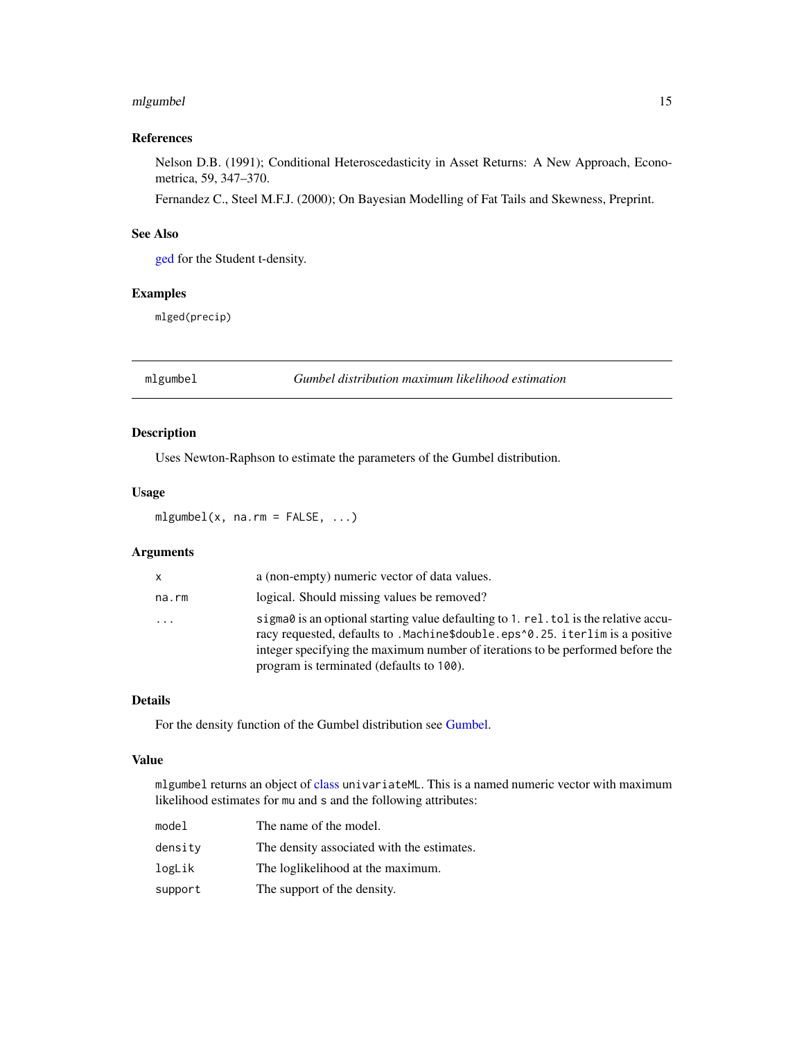#### <span id="page-14-0"></span>mlgumbel 15

### References

Nelson D.B. (1991); Conditional Heteroscedasticity in Asset Returns: A New Approach, Econometrica, 59, 347–370.

Fernandez C., Steel M.F.J. (2000); On Bayesian Modelling of Fat Tails and Skewness, Preprint.

### See Also

[ged](#page-0-0) for the Student t-density.

### Examples

mlged(precip)

mlgumbel *Gumbel distribution maximum likelihood estimation*

### Description

Uses Newton-Raphson to estimate the parameters of the Gumbel distribution.

#### Usage

 $mlgumbel(x, na.rm = FALSE, ...)$ 

### Arguments

| <b>X</b>                | a (non-empty) numeric vector of data values.                                                                                                                                  |
|-------------------------|-------------------------------------------------------------------------------------------------------------------------------------------------------------------------------|
| na.rm                   | logical. Should missing values be removed?                                                                                                                                    |
| $\cdot$ $\cdot$ $\cdot$ | sigma $\theta$ is an optional starting value defaulting to 1. rel. tol is the relative accu-<br>racy requested, defaults to . Machine\$double.eps^0.25. iterlim is a positive |
|                         | integer specifying the maximum number of iterations to be performed before the                                                                                                |
|                         | program is terminated (defaults to 100).                                                                                                                                      |

### Details

For the density function of the Gumbel distribution see [Gumbel.](#page-0-0)

#### Value

mlgumbel returns an object of [class](#page-0-0) univariateML. This is a named numeric vector with maximum likelihood estimates for mu and s and the following attributes:

| model   | The name of the model.                     |
|---------|--------------------------------------------|
| densitv | The density associated with the estimates. |
| logLik  | The loglikelihood at the maximum.          |
| support | The support of the density.                |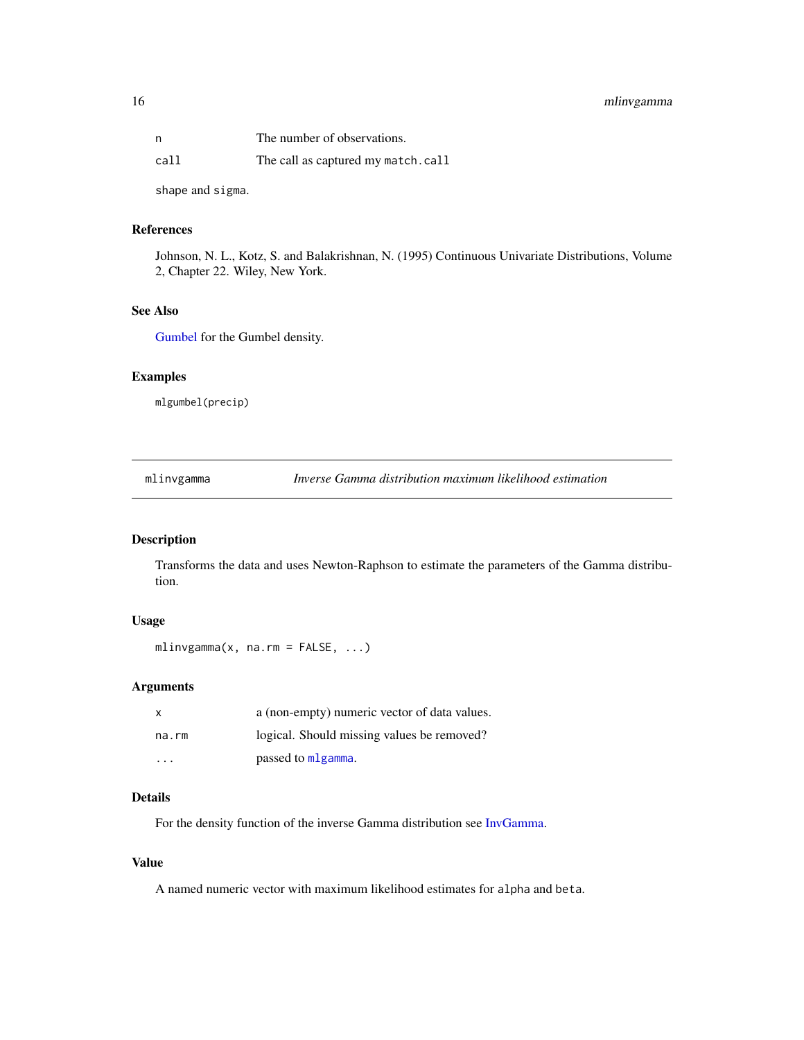### <span id="page-15-0"></span>16 mlinvgamma

| n    | The number of observations.        |
|------|------------------------------------|
| call | The call as captured my match.call |

shape and sigma.

### References

Johnson, N. L., Kotz, S. and Balakrishnan, N. (1995) Continuous Univariate Distributions, Volume 2, Chapter 22. Wiley, New York.

### See Also

[Gumbel](#page-0-0) for the Gumbel density.

### Examples

mlgumbel(precip)

mlinvgamma *Inverse Gamma distribution maximum likelihood estimation*

### Description

Transforms the data and uses Newton-Raphson to estimate the parameters of the Gamma distribution.

### Usage

```
mlinvgamma(x, na.rm = FALSE, ...)
```
### Arguments

| x       | a (non-empty) numeric vector of data values. |
|---------|----------------------------------------------|
| na.rm   | logical. Should missing values be removed?   |
| $\cdot$ | passed to mlgamma.                           |

#### Details

For the density function of the inverse Gamma distribution see [InvGamma.](#page-0-0)

#### Value

A named numeric vector with maximum likelihood estimates for alpha and beta.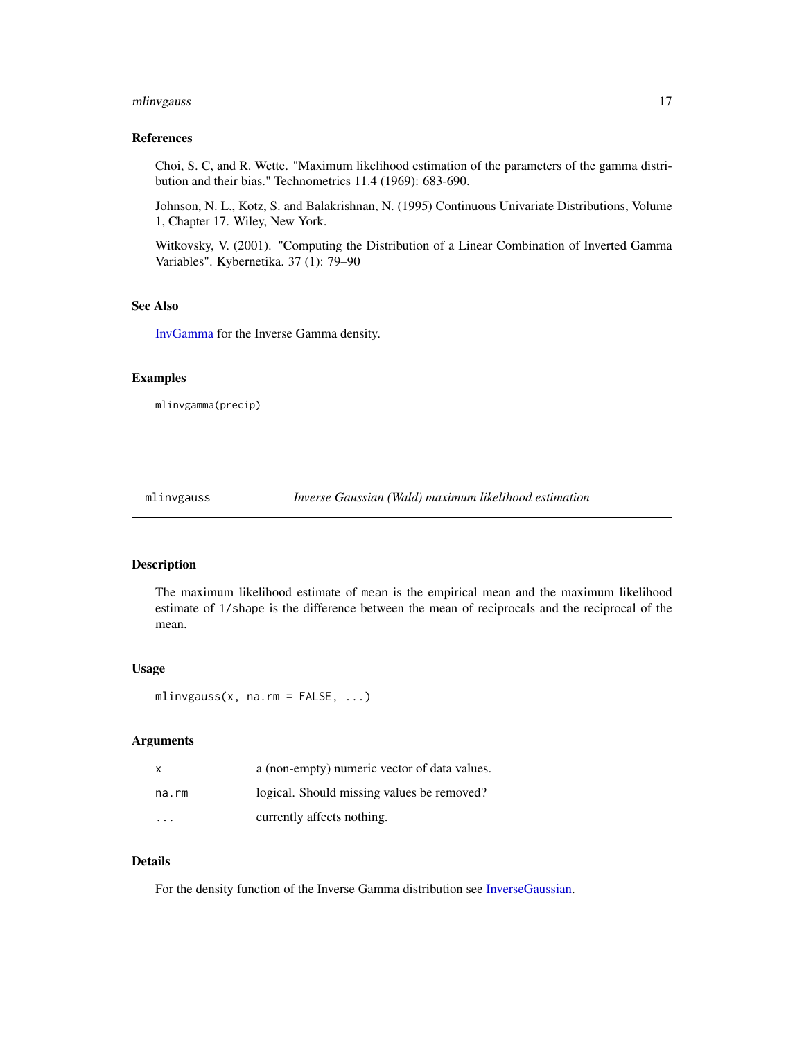### <span id="page-16-0"></span>mlinvgauss 17

### References

Choi, S. C, and R. Wette. "Maximum likelihood estimation of the parameters of the gamma distribution and their bias." Technometrics 11.4 (1969): 683-690.

Johnson, N. L., Kotz, S. and Balakrishnan, N. (1995) Continuous Univariate Distributions, Volume 1, Chapter 17. Wiley, New York.

Witkovsky, V. (2001). "Computing the Distribution of a Linear Combination of Inverted Gamma Variables". Kybernetika. 37 (1): 79–90

#### See Also

[InvGamma](#page-0-0) for the Inverse Gamma density.

#### Examples

mlinvgamma(precip)

mlinvgauss *Inverse Gaussian (Wald) maximum likelihood estimation*

#### Description

The maximum likelihood estimate of mean is the empirical mean and the maximum likelihood estimate of 1/shape is the difference between the mean of reciprocals and the reciprocal of the mean.

#### Usage

mlinvgauss(x, na.rm =  $FALSE, ...)$ 

#### Arguments

| X     | a (non-empty) numeric vector of data values. |
|-------|----------------------------------------------|
| na.rm | logical. Should missing values be removed?   |
| .     | currently affects nothing.                   |

### Details

For the density function of the Inverse Gamma distribution see [InverseGaussian.](#page-0-0)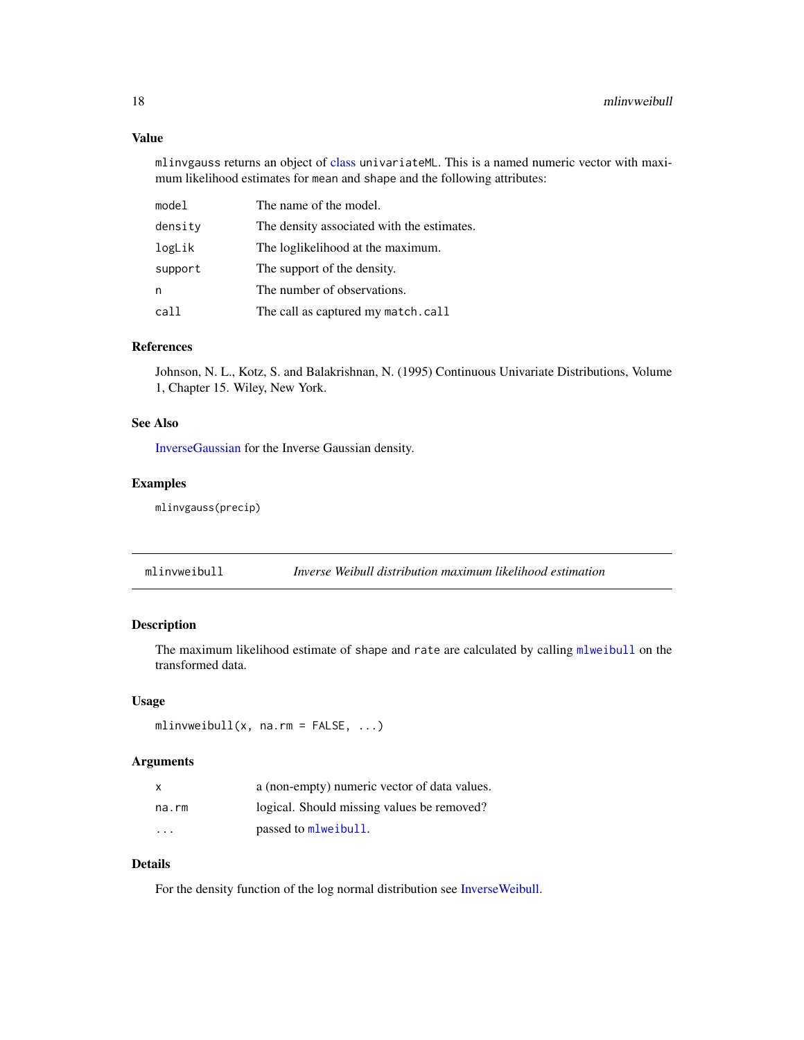#### <span id="page-17-0"></span>Value

mlinvgauss returns an object of [class](#page-0-0) univariateML. This is a named numeric vector with maximum likelihood estimates for mean and shape and the following attributes:

| model   | The name of the model.                     |
|---------|--------------------------------------------|
| density | The density associated with the estimates. |
| logLik  | The loglikelihood at the maximum.          |
| support | The support of the density.                |
| n       | The number of observations.                |
| call    | The call as captured my match.call         |

### References

Johnson, N. L., Kotz, S. and Balakrishnan, N. (1995) Continuous Univariate Distributions, Volume 1, Chapter 15. Wiley, New York.

### See Also

[InverseGaussian](#page-0-0) for the Inverse Gaussian density.

### Examples

mlinvgauss(precip)

mlinvweibull *Inverse Weibull distribution maximum likelihood estimation*

### Description

The maximum likelihood estimate of shape and rate are calculated by calling [mlweibull](#page-37-1) on the transformed data.

### Usage

```
mlinvweibull(x, na.rm = FALSE, ...)
```
### Arguments

| X     | a (non-empty) numeric vector of data values. |
|-------|----------------------------------------------|
| na.rm | logical. Should missing values be removed?   |
| .     | passed to mlweibull.                         |

### Details

For the density function of the log normal distribution see [InverseWeibull.](#page-0-0)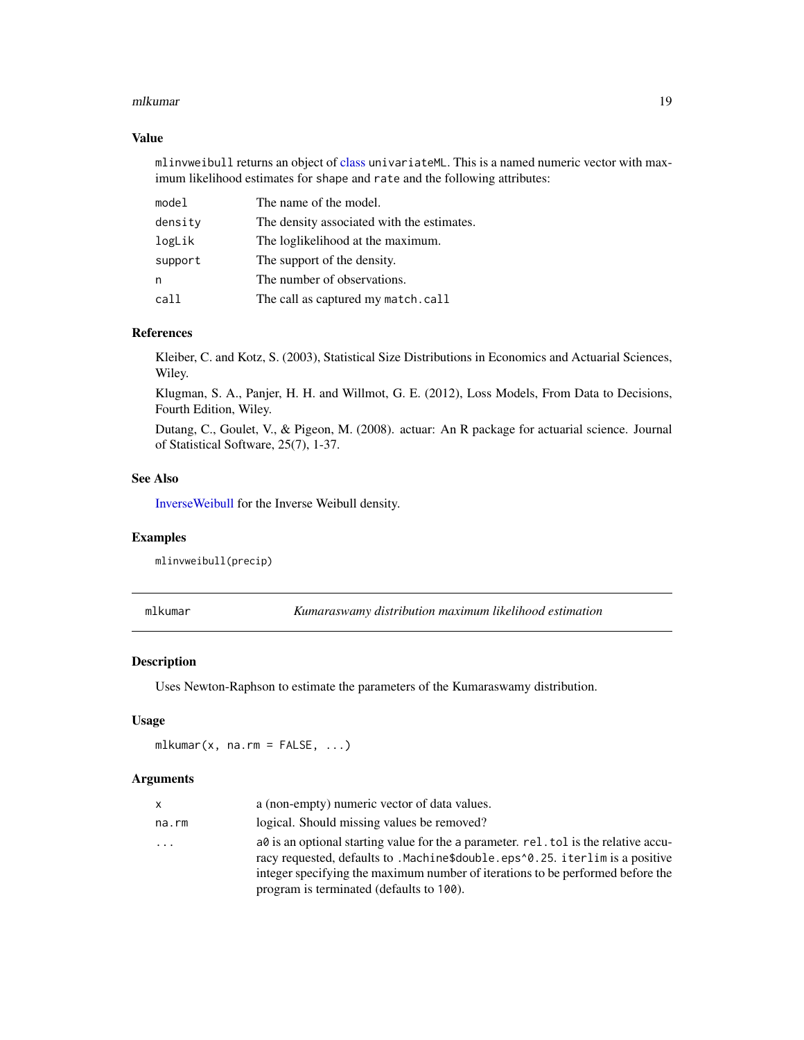#### <span id="page-18-0"></span>mlkumar 19

#### Value

mlinvweibull returns an object of [class](#page-0-0) univariateML. This is a named numeric vector with maximum likelihood estimates for shape and rate and the following attributes:

| model   | The name of the model.                     |
|---------|--------------------------------------------|
| density | The density associated with the estimates. |
| logLik  | The loglikelihood at the maximum.          |
| support | The support of the density.                |
| n       | The number of observations.                |
| call    | The call as captured my match.call         |

### References

Kleiber, C. and Kotz, S. (2003), Statistical Size Distributions in Economics and Actuarial Sciences, Wiley.

Klugman, S. A., Panjer, H. H. and Willmot, G. E. (2012), Loss Models, From Data to Decisions, Fourth Edition, Wiley.

Dutang, C., Goulet, V., & Pigeon, M. (2008). actuar: An R package for actuarial science. Journal of Statistical Software, 25(7), 1-37.

### See Also

[InverseWeibull](#page-0-0) for the Inverse Weibull density.

#### Examples

mlinvweibull(precip)

mlkumar *Kumaraswamy distribution maximum likelihood estimation*

#### Description

Uses Newton-Raphson to estimate the parameters of the Kumaraswamy distribution.

#### Usage

 $mlkumar(x, na.rm = FALSE, ...)$ 

| x     | a (non-empty) numeric vector of data values.                                                                                                                                |
|-------|-----------------------------------------------------------------------------------------------------------------------------------------------------------------------------|
| na.rm | logical. Should missing values be removed?                                                                                                                                  |
| .     | $a\theta$ is an optional starting value for the a parameter. rel. tol is the relative accu-<br>racy requested, defaults to .Machine\$double.eps^0.25. iterlim is a positive |
|       | integer specifying the maximum number of iterations to be performed before the                                                                                              |
|       | program is terminated (defaults to 100).                                                                                                                                    |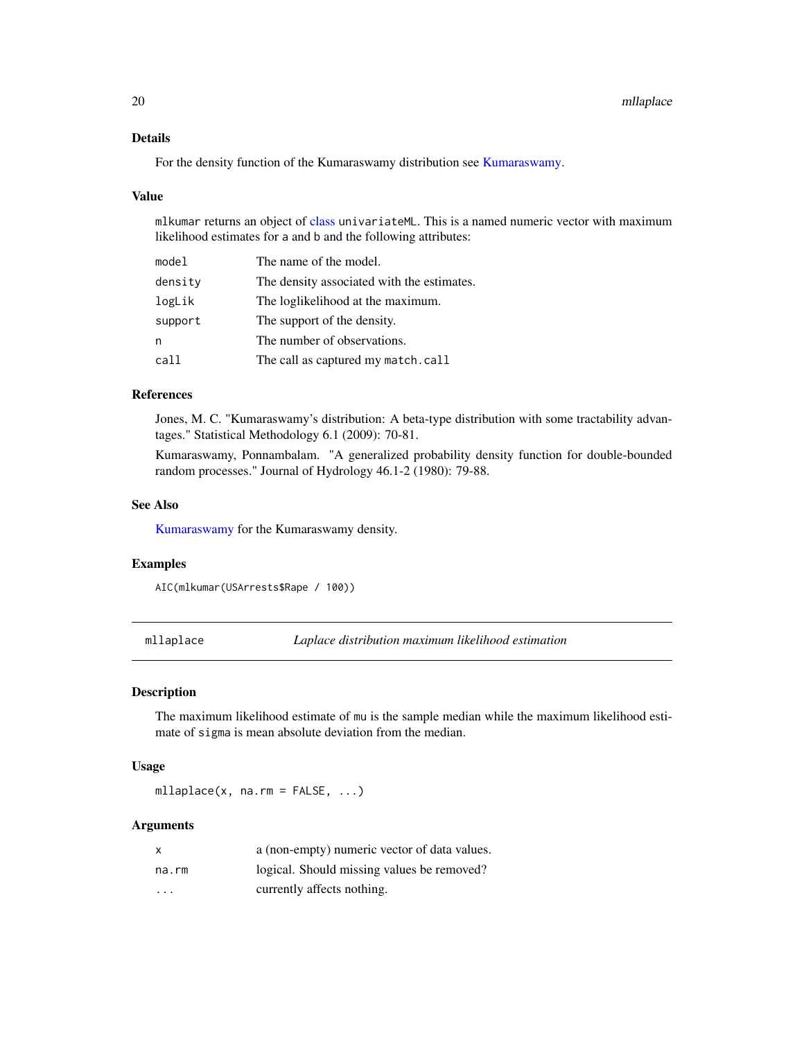### <span id="page-19-0"></span>Details

For the density function of the Kumaraswamy distribution see [Kumaraswamy.](#page-0-0)

#### Value

mlkumar returns an object of [class](#page-0-0) univariateML. This is a named numeric vector with maximum likelihood estimates for a and b and the following attributes:

| model   | The name of the model.                     |
|---------|--------------------------------------------|
| density | The density associated with the estimates. |
| logLik  | The loglikelihood at the maximum.          |
| support | The support of the density.                |
| n       | The number of observations.                |
| call    | The call as captured my match.call         |

#### References

Jones, M. C. "Kumaraswamy's distribution: A beta-type distribution with some tractability advantages." Statistical Methodology 6.1 (2009): 70-81.

Kumaraswamy, Ponnambalam. "A generalized probability density function for double-bounded random processes." Journal of Hydrology 46.1-2 (1980): 79-88.

### See Also

[Kumaraswamy](#page-0-0) for the Kumaraswamy density.

#### Examples

AIC(mlkumar(USArrests\$Rape / 100))

mllaplace *Laplace distribution maximum likelihood estimation*

### Description

The maximum likelihood estimate of mu is the sample median while the maximum likelihood estimate of sigma is mean absolute deviation from the median.

#### Usage

 $mllaplace(x, na.rm = FALSE, ...)$ 

|                         | a (non-empty) numeric vector of data values. |
|-------------------------|----------------------------------------------|
| na.rm                   | logical. Should missing values be removed?   |
| $\cdot$ $\cdot$ $\cdot$ | currently affects nothing.                   |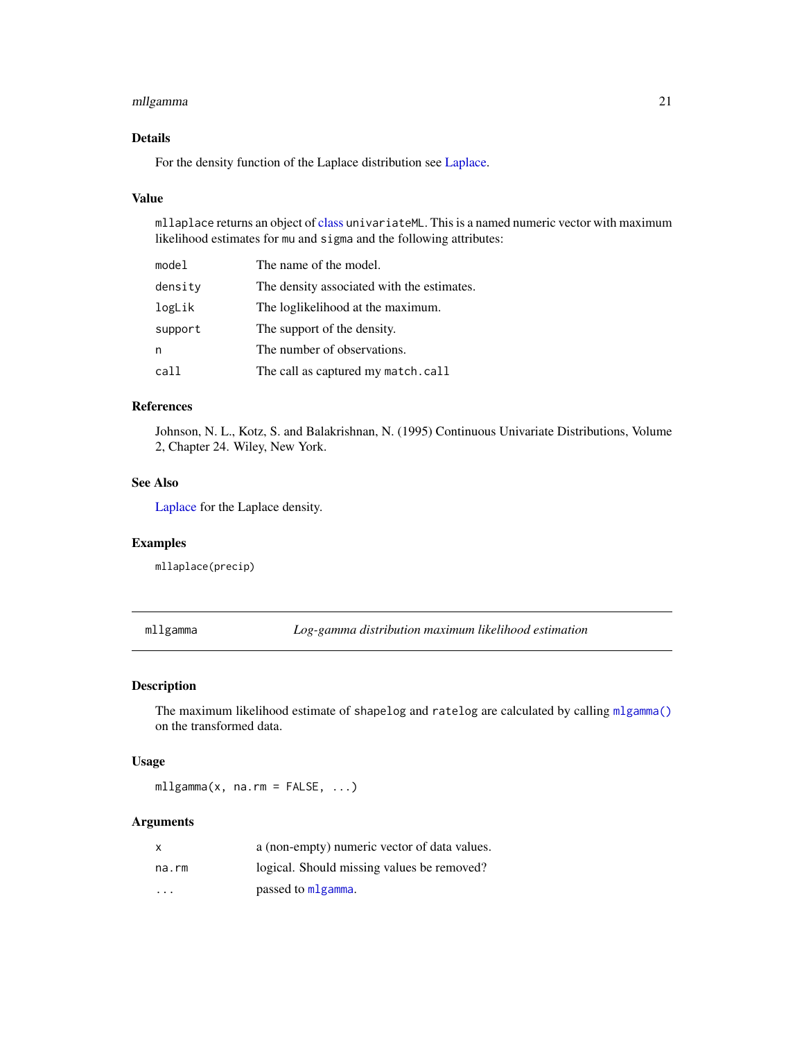### <span id="page-20-0"></span>mllgamma 21

### Details

For the density function of the Laplace distribution see [Laplace.](#page-0-0)

### Value

mllaplace returns an object of [class](#page-0-0) univariateML. This is a named numeric vector with maximum likelihood estimates for mu and sigma and the following attributes:

| model   | The name of the model.                     |
|---------|--------------------------------------------|
| density | The density associated with the estimates. |
| logLik  | The loglikelihood at the maximum.          |
| support | The support of the density.                |
| n       | The number of observations.                |
| call    | The call as captured my match.call         |

#### References

Johnson, N. L., Kotz, S. and Balakrishnan, N. (1995) Continuous Univariate Distributions, Volume 2, Chapter 24. Wiley, New York.

#### See Also

[Laplace](#page-0-0) for the Laplace density.

### Examples

mllaplace(precip)

mllgamma *Log-gamma distribution maximum likelihood estimation*

#### Description

The maximum likelihood estimate of shapelog and ratelog are calculated by calling [mlgamma\(\)](#page-12-1) on the transformed data.

#### Usage

mllgamma(x, na.rm = FALSE, ...)

|                         | a (non-empty) numeric vector of data values. |
|-------------------------|----------------------------------------------|
| na.rm                   | logical. Should missing values be removed?   |
| $\cdot$ $\cdot$ $\cdot$ | passed to mlgamma.                           |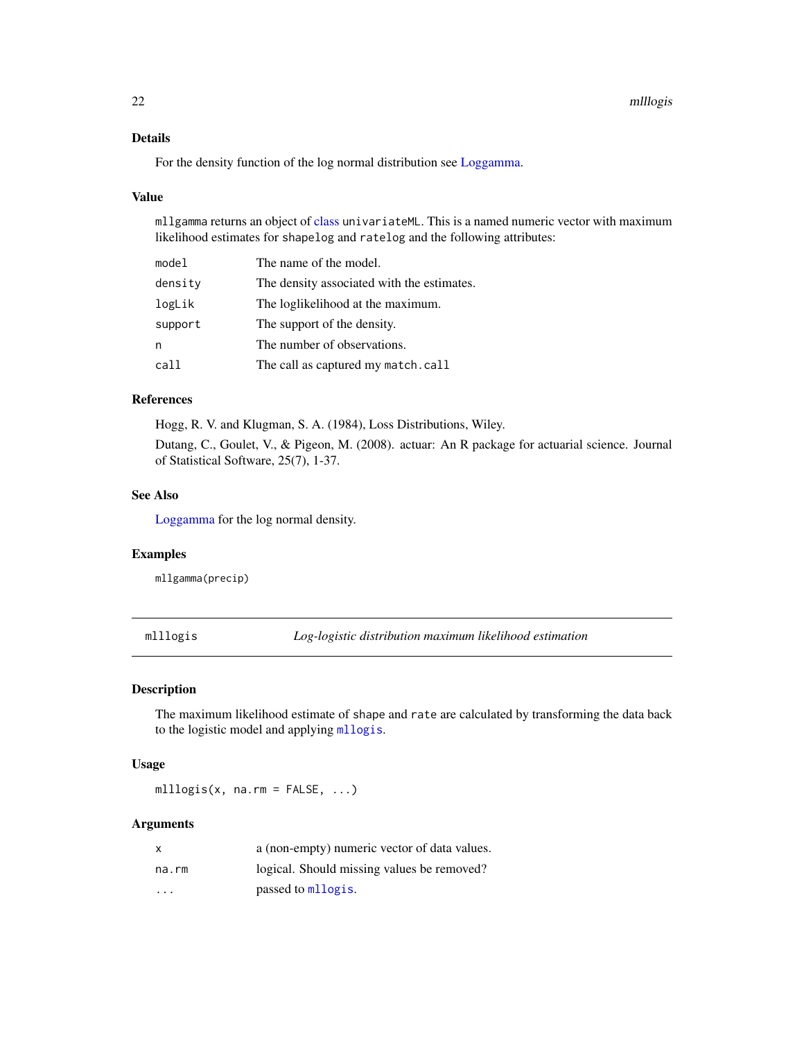### <span id="page-21-0"></span>Details

For the density function of the log normal distribution see [Loggamma.](#page-0-0)

#### Value

mllgamma returns an object of [class](#page-0-0) univariateML. This is a named numeric vector with maximum likelihood estimates for shapelog and ratelog and the following attributes:

| model   | The name of the model.                     |
|---------|--------------------------------------------|
| density | The density associated with the estimates. |
| logLik  | The loglikelihood at the maximum.          |
| support | The support of the density.                |
| n       | The number of observations.                |
| call    | The call as captured my match.call         |

### References

Hogg, R. V. and Klugman, S. A. (1984), Loss Distributions, Wiley.

Dutang, C., Goulet, V., & Pigeon, M. (2008). actuar: An R package for actuarial science. Journal of Statistical Software, 25(7), 1-37.

#### See Also

[Loggamma](#page-0-0) for the log normal density.

#### Examples

mllgamma(precip)

mlllogis *Log-logistic distribution maximum likelihood estimation*

#### Description

The maximum likelihood estimate of shape and rate are calculated by transforming the data back to the logistic model and applying [mllogis](#page-23-1).

### Usage

mlllogis(x, na.rm =  $FALSE, ...$ )

|                         | a (non-empty) numeric vector of data values. |
|-------------------------|----------------------------------------------|
| na.rm                   | logical. Should missing values be removed?   |
| $\cdot$ $\cdot$ $\cdot$ | passed to mllogis.                           |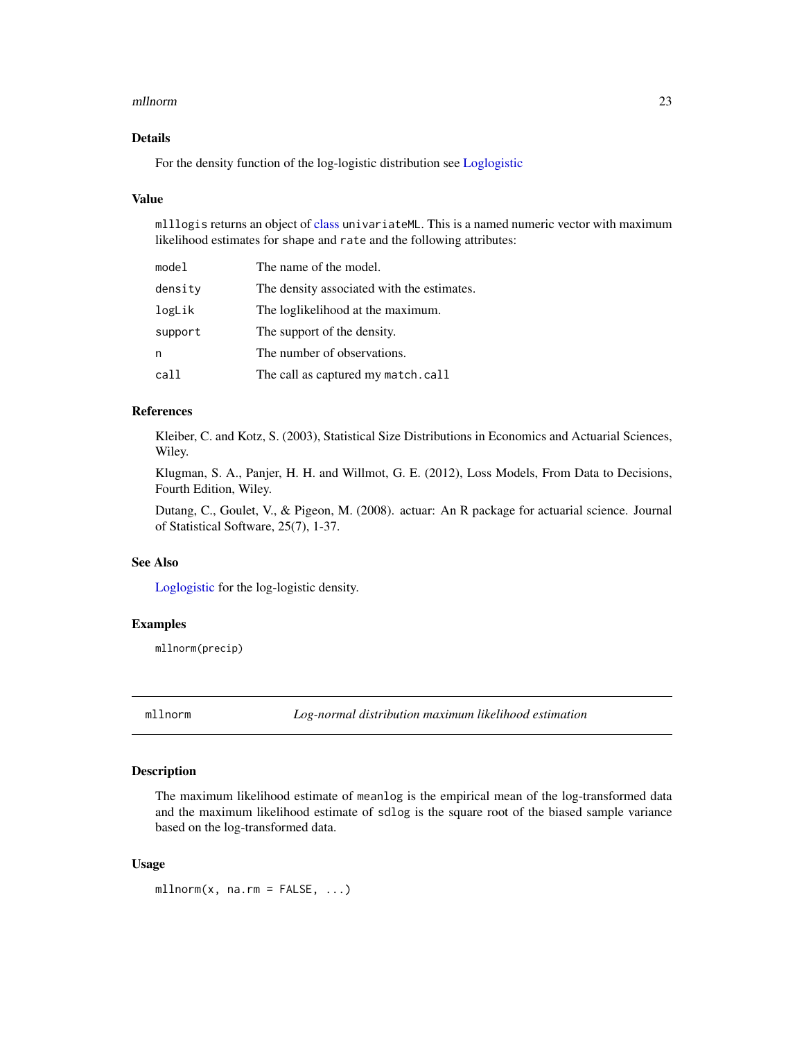#### <span id="page-22-0"></span>mllnorm 23

### Details

For the density function of the log-logistic distribution see [Loglogistic](#page-0-0)

#### Value

mlllogis returns an object of [class](#page-0-0) univariateML. This is a named numeric vector with maximum likelihood estimates for shape and rate and the following attributes:

| model   | The name of the model.                     |
|---------|--------------------------------------------|
| density | The density associated with the estimates. |
| logLik  | The loglikelihood at the maximum.          |
| support | The support of the density.                |
| n       | The number of observations.                |
| call    | The call as captured my match.call         |

#### References

Kleiber, C. and Kotz, S. (2003), Statistical Size Distributions in Economics and Actuarial Sciences, Wiley.

Klugman, S. A., Panjer, H. H. and Willmot, G. E. (2012), Loss Models, From Data to Decisions, Fourth Edition, Wiley.

Dutang, C., Goulet, V., & Pigeon, M. (2008). actuar: An R package for actuarial science. Journal of Statistical Software, 25(7), 1-37.

### See Also

[Loglogistic](#page-0-0) for the log-logistic density.

#### Examples

mllnorm(precip)

mllnorm *Log-normal distribution maximum likelihood estimation*

#### Description

The maximum likelihood estimate of meanlog is the empirical mean of the log-transformed data and the maximum likelihood estimate of sdlog is the square root of the biased sample variance based on the log-transformed data.

#### Usage

 $mllnorm(x, na.rm = FALSE, ...)$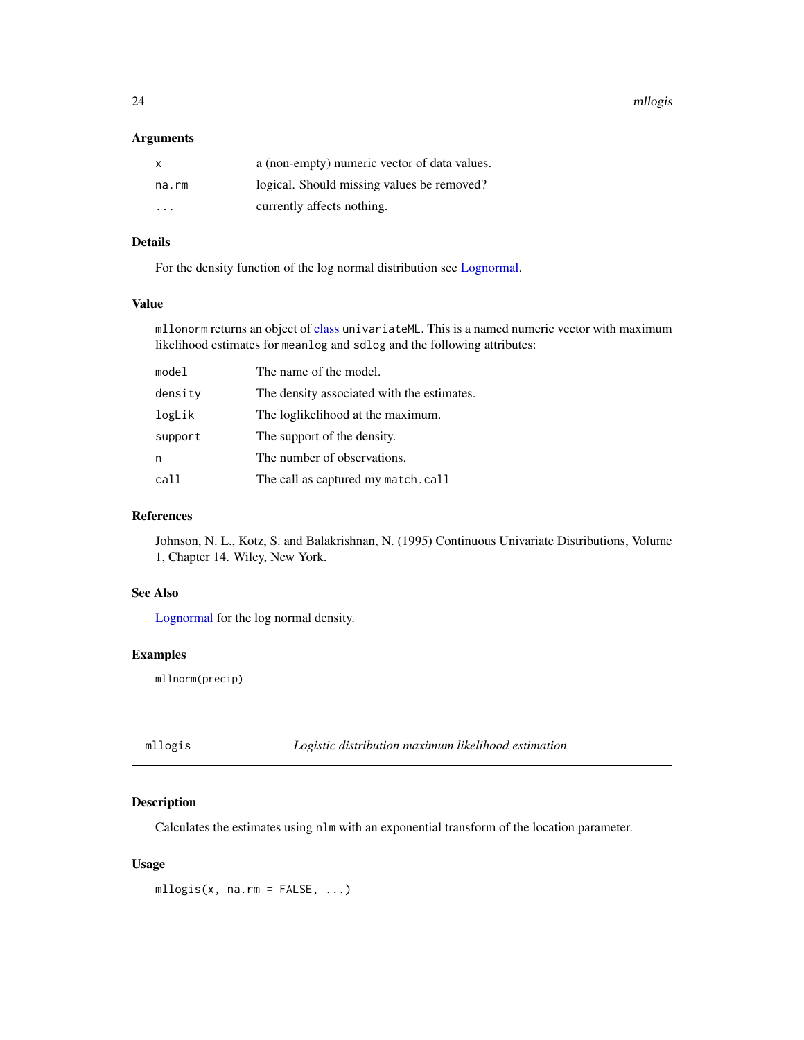<span id="page-23-0"></span>24 mllogis

#### Arguments

| x       | a (non-empty) numeric vector of data values. |
|---------|----------------------------------------------|
| na.rm   | logical. Should missing values be removed?   |
| $\cdot$ | currently affects nothing.                   |

### Details

For the density function of the log normal distribution see [Lognormal.](#page-0-0)

### Value

mllonorm returns an object of [class](#page-0-0) univariateML. This is a named numeric vector with maximum likelihood estimates for meanlog and sdlog and the following attributes:

| model   | The name of the model.                     |
|---------|--------------------------------------------|
| density | The density associated with the estimates. |
| logLik  | The loglikelihood at the maximum.          |
| support | The support of the density.                |
| n       | The number of observations.                |
| call    | The call as captured my match.call         |

#### References

Johnson, N. L., Kotz, S. and Balakrishnan, N. (1995) Continuous Univariate Distributions, Volume 1, Chapter 14. Wiley, New York.

### See Also

[Lognormal](#page-0-0) for the log normal density.

#### Examples

mllnorm(precip)

<span id="page-23-1"></span>mllogis *Logistic distribution maximum likelihood estimation*

### Description

Calculates the estimates using nlm with an exponential transform of the location parameter.

### Usage

 $mllogis(x, na.rm = FALSE, ...)$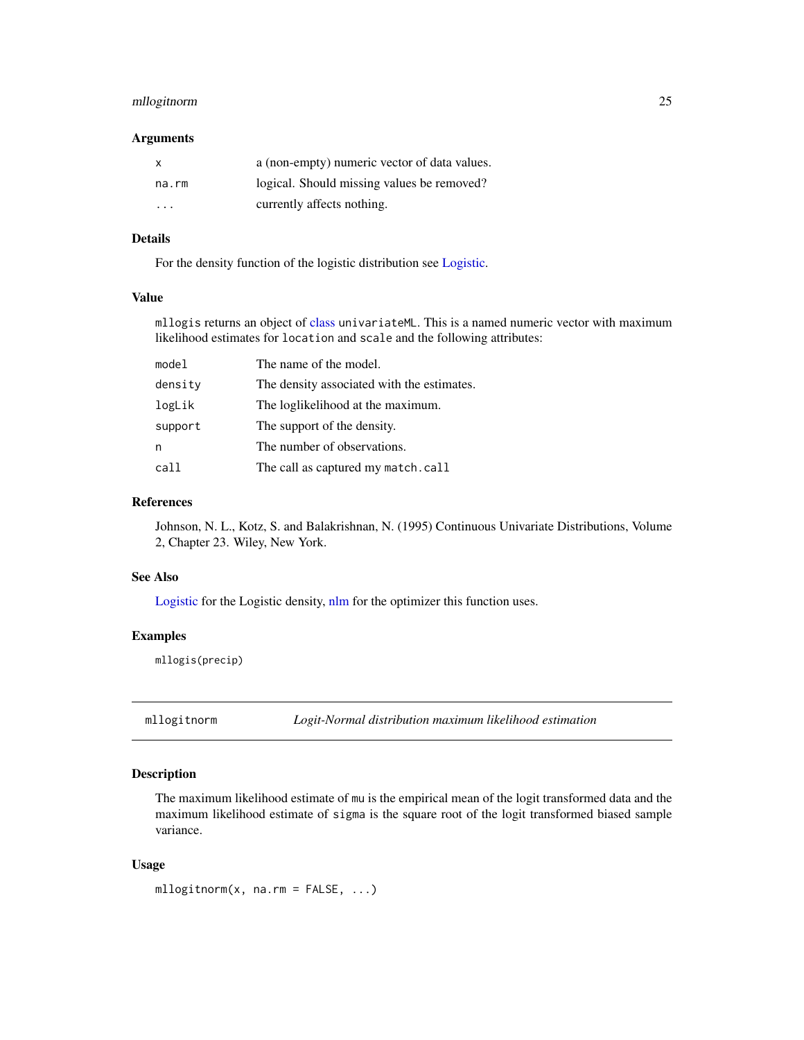### <span id="page-24-0"></span>mllogitnorm 25

#### Arguments

| X     | a (non-empty) numeric vector of data values. |
|-------|----------------------------------------------|
| na.rm | logical. Should missing values be removed?   |
| .     | currently affects nothing.                   |

### Details

For the density function of the logistic distribution see [Logistic.](#page-0-0)

#### Value

mllogis returns an object of [class](#page-0-0) univariateML. This is a named numeric vector with maximum likelihood estimates for location and scale and the following attributes:

| model   | The name of the model.                     |
|---------|--------------------------------------------|
| density | The density associated with the estimates. |
| logLik  | The loglikelihood at the maximum.          |
| support | The support of the density.                |
| n       | The number of observations.                |
| call    | The call as captured my match.call         |

#### References

Johnson, N. L., Kotz, S. and Balakrishnan, N. (1995) Continuous Univariate Distributions, Volume 2, Chapter 23. Wiley, New York.

### See Also

[Logistic](#page-0-0) for the Logistic density, [nlm](#page-0-0) for the optimizer this function uses.

### Examples

mllogis(precip)

mllogitnorm *Logit-Normal distribution maximum likelihood estimation*

### Description

The maximum likelihood estimate of mu is the empirical mean of the logit transformed data and the maximum likelihood estimate of sigma is the square root of the logit transformed biased sample variance.

#### Usage

mllogitnorm(x, na.rm = FALSE, ...)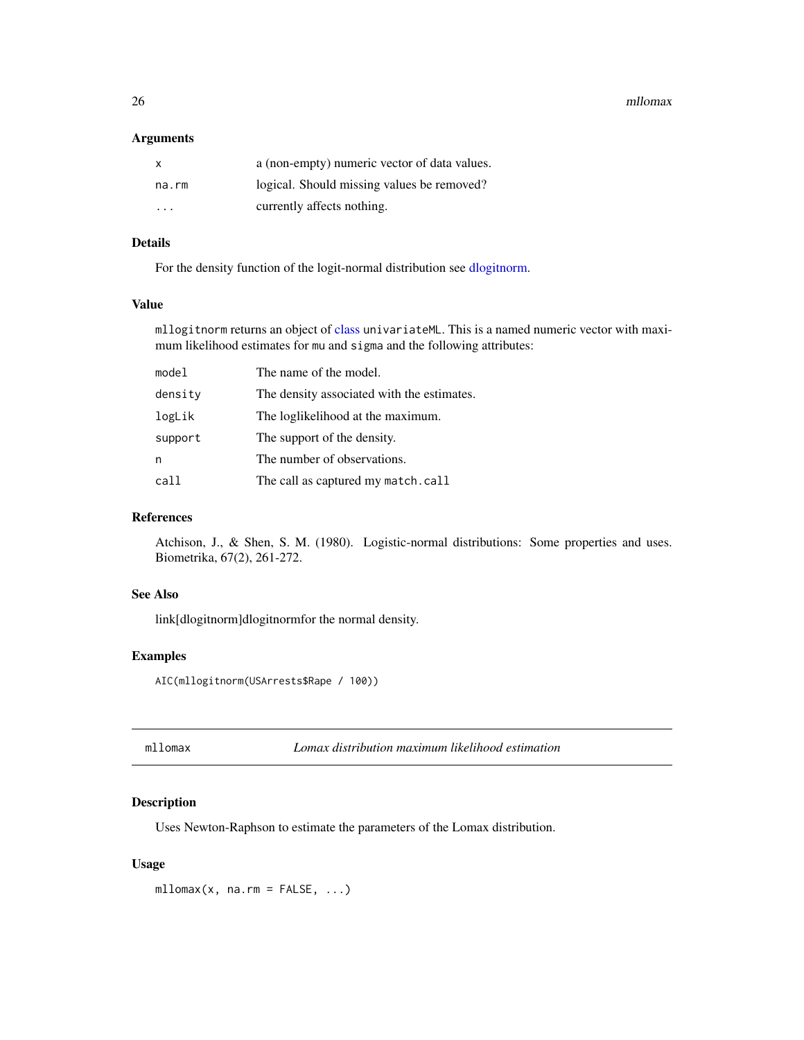<span id="page-25-0"></span>26 million axis and the contract of the contract of the contract of the contract of the contract of the contract of the contract of the contract of the contract of the contract of the contract of the contract of the contra

#### Arguments

| x       | a (non-empty) numeric vector of data values. |
|---------|----------------------------------------------|
| na.rm   | logical. Should missing values be removed?   |
| $\cdot$ | currently affects nothing.                   |

### Details

For the density function of the logit-normal distribution see [dlogitnorm.](#page-0-0)

### Value

mllogitnorm returns an object of [class](#page-0-0) univariateML. This is a named numeric vector with maximum likelihood estimates for mu and sigma and the following attributes:

| model   | The name of the model.                     |
|---------|--------------------------------------------|
| density | The density associated with the estimates. |
| logLik  | The loglikelihood at the maximum.          |
| support | The support of the density.                |
| n       | The number of observations.                |
| call    | The call as captured my match.call         |

#### References

Atchison, J., & Shen, S. M. (1980). Logistic-normal distributions: Some properties and uses. Biometrika, 67(2), 261-272.

### See Also

link[dlogitnorm]dlogitnormfor the normal density.

### Examples

AIC(mllogitnorm(USArrests\$Rape / 100))

mllomax *Lomax distribution maximum likelihood estimation*

### Description

Uses Newton-Raphson to estimate the parameters of the Lomax distribution.

### Usage

 $mllomax(x, na.rm = FALSE, ...)$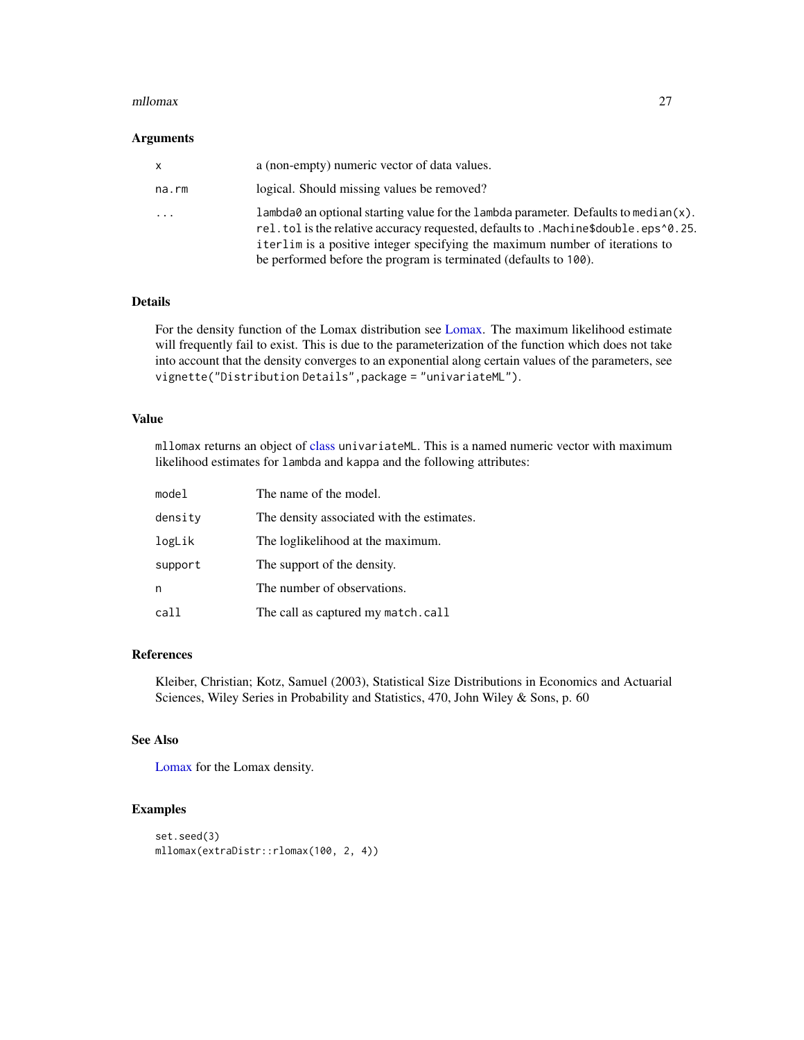#### <span id="page-26-0"></span>mllomax 27

#### Arguments

| X       | a (non-empty) numeric vector of data values.                                                                                                                                                                                                                                                                                      |
|---------|-----------------------------------------------------------------------------------------------------------------------------------------------------------------------------------------------------------------------------------------------------------------------------------------------------------------------------------|
| na.rm   | logical. Should missing values be removed?                                                                                                                                                                                                                                                                                        |
| $\cdot$ | lambda0 an optional starting value for the lambda parameter. Defaults to median $(x)$ .<br>rel.tol is the relative accuracy requested, defaults to .Machine\$double.eps^0.25.<br>iterlim is a positive integer specifying the maximum number of iterations to<br>be performed before the program is terminated (defaults to 100). |

### Details

For the density function of the Lomax distribution see [Lomax.](#page-0-0) The maximum likelihood estimate will frequently fail to exist. This is due to the parameterization of the function which does not take into account that the density converges to an exponential along certain values of the parameters, see vignette("Distribution Details",package = "univariateML").

#### Value

mllomax returns an object of [class](#page-0-0) univariateML. This is a named numeric vector with maximum likelihood estimates for lambda and kappa and the following attributes:

| model   | The name of the model.                     |
|---------|--------------------------------------------|
| density | The density associated with the estimates. |
| logLik  | The loglikelihood at the maximum.          |
| support | The support of the density.                |
| n       | The number of observations.                |
| call    | The call as captured my match.call         |

#### References

Kleiber, Christian; Kotz, Samuel (2003), Statistical Size Distributions in Economics and Actuarial Sciences, Wiley Series in Probability and Statistics, 470, John Wiley & Sons, p. 60

### See Also

[Lomax](#page-0-0) for the Lomax density.

### Examples

```
set.seed(3)
mllomax(extraDistr::rlomax(100, 2, 4))
```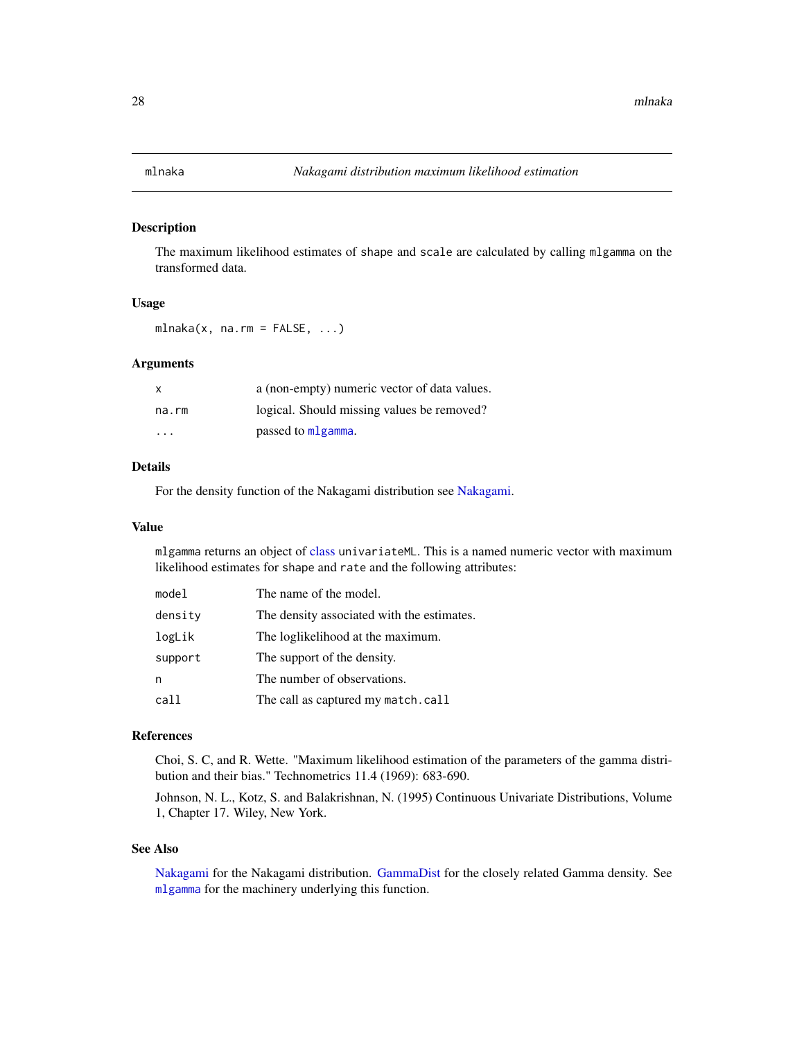<span id="page-27-0"></span>

The maximum likelihood estimates of shape and scale are calculated by calling mlgamma on the transformed data.

### Usage

 $mlnaka(x, na.rm = FALSE, ...)$ 

#### Arguments

| X     | a (non-empty) numeric vector of data values. |
|-------|----------------------------------------------|
| na.rm | logical. Should missing values be removed?   |
| .     | passed to mlgamma.                           |

#### Details

For the density function of the Nakagami distribution see [Nakagami.](#page-0-0)

#### Value

mlgamma returns an object of [class](#page-0-0) univariateML. This is a named numeric vector with maximum likelihood estimates for shape and rate and the following attributes:

| model   | The name of the model.                     |
|---------|--------------------------------------------|
| density | The density associated with the estimates. |
| logLik  | The loglikelihood at the maximum.          |
| support | The support of the density.                |
| n       | The number of observations.                |
| call    | The call as captured my match.call         |

### References

Choi, S. C, and R. Wette. "Maximum likelihood estimation of the parameters of the gamma distribution and their bias." Technometrics 11.4 (1969): 683-690.

Johnson, N. L., Kotz, S. and Balakrishnan, N. (1995) Continuous Univariate Distributions, Volume 1, Chapter 17. Wiley, New York.

#### See Also

[Nakagami](#page-0-0) for the Nakagami distribution. [GammaDist](#page-0-0) for the closely related Gamma density. See [mlgamma](#page-12-1) for the machinery underlying this function.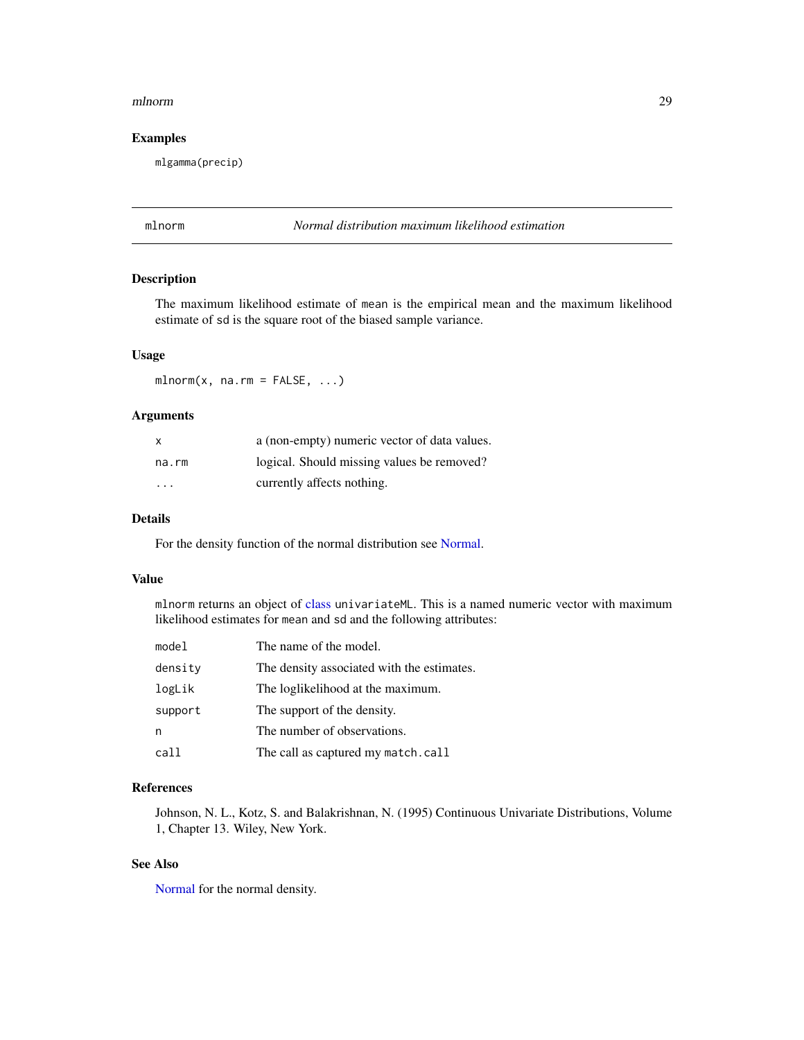#### <span id="page-28-0"></span>mlnorm 29

### Examples

mlgamma(precip)

### mlnorm *Normal distribution maximum likelihood estimation*

#### Description

The maximum likelihood estimate of mean is the empirical mean and the maximum likelihood estimate of sd is the square root of the biased sample variance.

#### Usage

 $mlnorm(x, na.rm = FALSE, ...)$ 

#### Arguments

| X     | a (non-empty) numeric vector of data values. |
|-------|----------------------------------------------|
| na.rm | logical. Should missing values be removed?   |
| .     | currently affects nothing.                   |

#### Details

For the density function of the normal distribution see [Normal.](#page-0-0)

#### Value

mlnorm returns an object of [class](#page-0-0) univariateML. This is a named numeric vector with maximum likelihood estimates for mean and sd and the following attributes:

| model   | The name of the model.                     |
|---------|--------------------------------------------|
| density | The density associated with the estimates. |
| logLik  | The loglikelihood at the maximum.          |
| support | The support of the density.                |
| n       | The number of observations.                |
| call    | The call as captured my match.call         |

### References

Johnson, N. L., Kotz, S. and Balakrishnan, N. (1995) Continuous Univariate Distributions, Volume 1, Chapter 13. Wiley, New York.

### See Also

[Normal](#page-0-0) for the normal density.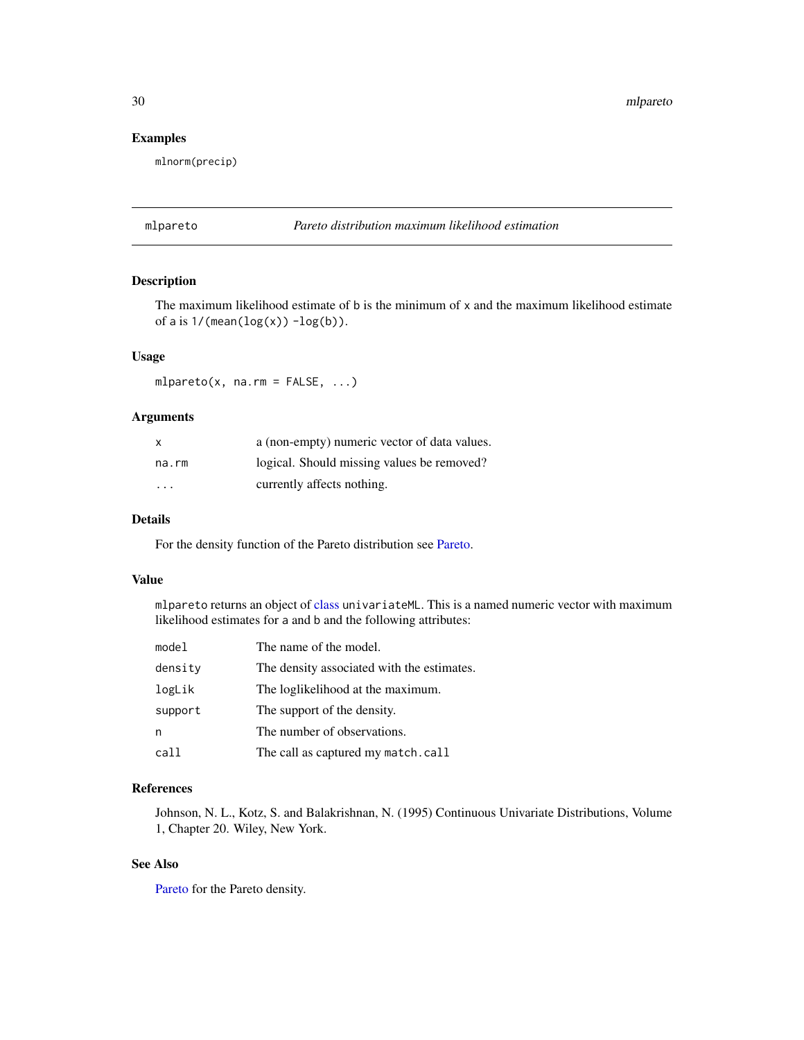<span id="page-29-0"></span>30 mlpareto

### Examples

mlnorm(precip)

#### mlpareto *Pareto distribution maximum likelihood estimation*

### Description

The maximum likelihood estimate of b is the minimum of x and the maximum likelihood estimate of a is  $1/$ (mean( $log(x)$ ) - $log(b)$ ).

#### Usage

mlpareto(x, na.rm = FALSE, ...)

#### Arguments

| X       | a (non-empty) numeric vector of data values. |
|---------|----------------------------------------------|
| na.rm   | logical. Should missing values be removed?   |
| $\cdot$ | currently affects nothing.                   |

### Details

For the density function of the Pareto distribution see [Pareto.](#page-0-0)

#### Value

mlpareto returns an object of [class](#page-0-0) univariateML. This is a named numeric vector with maximum likelihood estimates for a and b and the following attributes:

| model   | The name of the model.                     |
|---------|--------------------------------------------|
| density | The density associated with the estimates. |
| logLik  | The loglikelihood at the maximum.          |
| support | The support of the density.                |
| n       | The number of observations.                |
| call    | The call as captured my match.call         |

### References

Johnson, N. L., Kotz, S. and Balakrishnan, N. (1995) Continuous Univariate Distributions, Volume 1, Chapter 20. Wiley, New York.

### See Also

[Pareto](#page-0-0) for the Pareto density.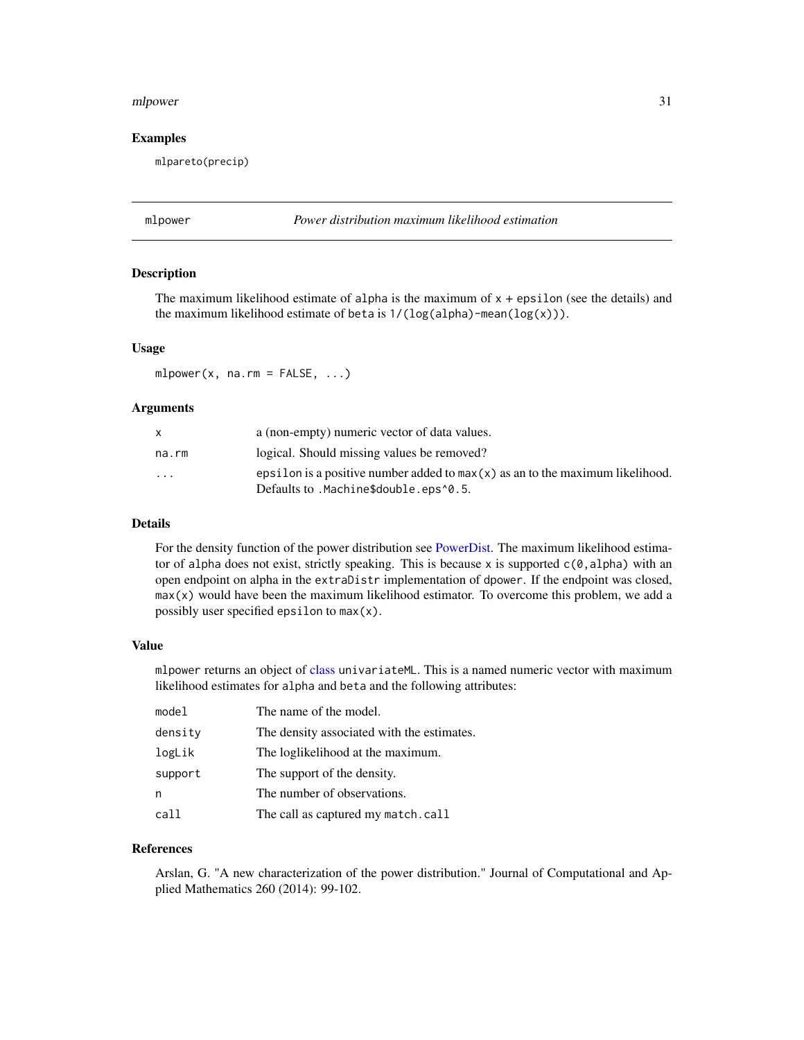#### <span id="page-30-0"></span>mlpower 31

#### Examples

mlpareto(precip)

### mlpower *Power distribution maximum likelihood estimation*

#### Description

The maximum likelihood estimate of alpha is the maximum of  $x + \epsilon$  epsilon (see the details) and the maximum likelihood estimate of beta is  $1/(\log(\text{alpha}) - \text{mean}(\log(x)))$ .

### Usage

 $mlpower(x, na.rm = FALSE, ...)$ 

#### **Arguments**

|                         | a (non-empty) numeric vector of data values.                                                                             |
|-------------------------|--------------------------------------------------------------------------------------------------------------------------|
| na.rm                   | logical. Should missing values be removed?                                                                               |
| $\cdot$ $\cdot$ $\cdot$ | epsilon is a positive number added to $max(x)$ as an to the maximum likelihood.<br>Defaults to .Machine\$double.eps^0.5. |

#### Details

For the density function of the power distribution see [PowerDist.](#page-0-0) The maximum likelihood estimator of alpha does not exist, strictly speaking. This is because x is supported  $c(\emptyset, \text{alpha})$  with an open endpoint on alpha in the extraDistr implementation of dpower. If the endpoint was closed, max(x) would have been the maximum likelihood estimator. To overcome this problem, we add a possibly user specified epsilon to max(x).

#### Value

mlpower returns an object of [class](#page-0-0) univariateML. This is a named numeric vector with maximum likelihood estimates for alpha and beta and the following attributes:

| model   | The name of the model.                     |
|---------|--------------------------------------------|
| density | The density associated with the estimates. |
| logLik  | The loglikelihood at the maximum.          |
| support | The support of the density.                |
| n       | The number of observations.                |
| call    | The call as captured my match.call         |

#### References

Arslan, G. "A new characterization of the power distribution." Journal of Computational and Applied Mathematics 260 (2014): 99-102.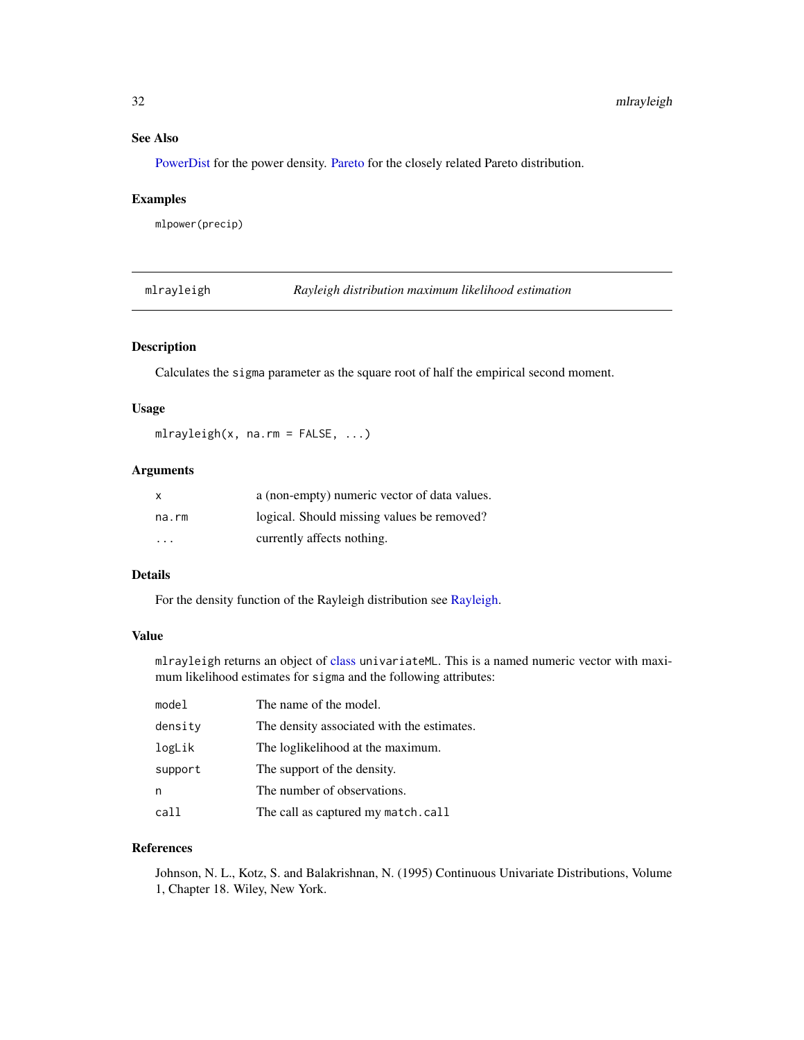### <span id="page-31-0"></span>See Also

[PowerDist](#page-0-0) for the power density. [Pareto](#page-0-0) for the closely related Pareto distribution.

#### Examples

mlpower(precip)

mlrayleigh *Rayleigh distribution maximum likelihood estimation*

### Description

Calculates the sigma parameter as the square root of half the empirical second moment.

### Usage

 $mlrayleigh(x, na.rm = FALSE, ...)$ 

### Arguments

| X                       | a (non-empty) numeric vector of data values. |
|-------------------------|----------------------------------------------|
| na.rm                   | logical. Should missing values be removed?   |
| $\cdot$ $\cdot$ $\cdot$ | currently affects nothing.                   |

#### Details

For the density function of the Rayleigh distribution see [Rayleigh.](#page-0-0)

### Value

mlrayleigh returns an object of [class](#page-0-0) univariateML. This is a named numeric vector with maximum likelihood estimates for sigma and the following attributes:

| model   | The name of the model.                     |
|---------|--------------------------------------------|
| density | The density associated with the estimates. |
| logLik  | The loglikelihood at the maximum.          |
| support | The support of the density.                |
| n       | The number of observations.                |
| call    | The call as captured my match.call         |

#### References

Johnson, N. L., Kotz, S. and Balakrishnan, N. (1995) Continuous Univariate Distributions, Volume 1, Chapter 18. Wiley, New York.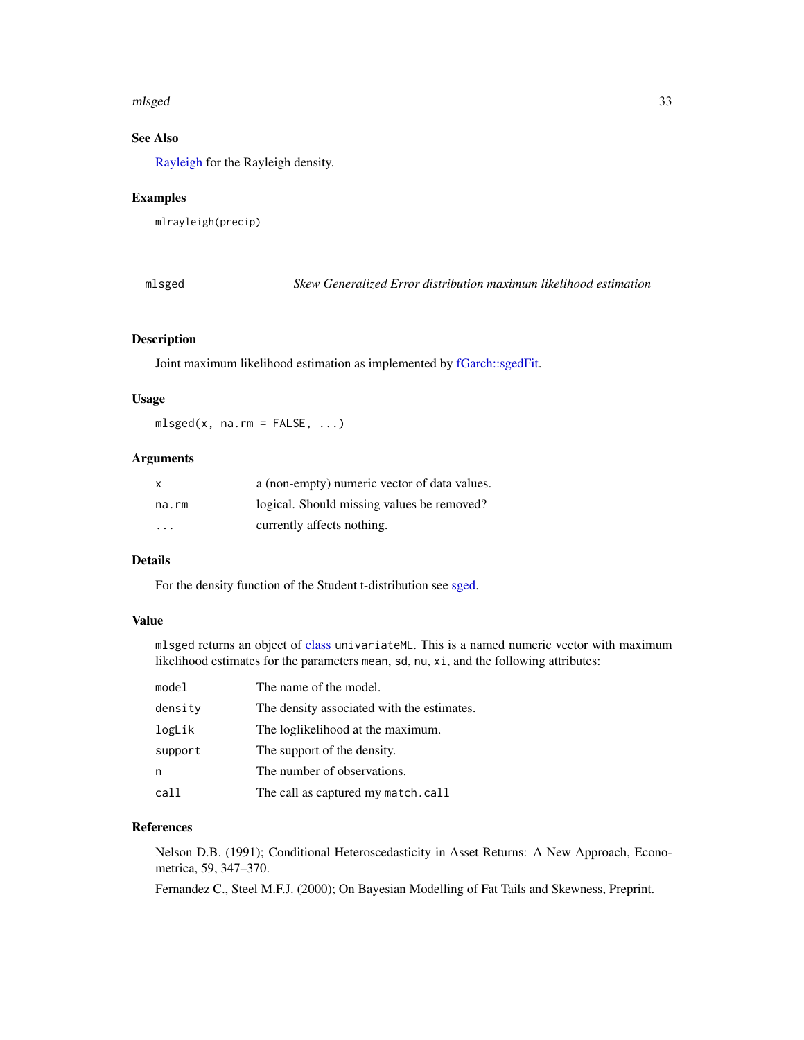#### <span id="page-32-0"></span>mlsged 33

### See Also

[Rayleigh](#page-0-0) for the Rayleigh density.

#### Examples

mlrayleigh(precip)

mlsged *Skew Generalized Error distribution maximum likelihood estimation*

### Description

Joint maximum likelihood estimation as implemented by [fGarch::sgedFit.](#page-0-0)

#### Usage

 $mlsged(x, na.rm = FALSE, ...)$ 

### Arguments

| X     | a (non-empty) numeric vector of data values. |
|-------|----------------------------------------------|
| na.rm | logical. Should missing values be removed?   |
| .     | currently affects nothing.                   |

#### Details

For the density function of the Student t-distribution see [sged.](#page-0-0)

### Value

mlsged returns an object of [class](#page-0-0) univariateML. This is a named numeric vector with maximum likelihood estimates for the parameters mean, sd, nu, xi, and the following attributes:

| model   | The name of the model.                     |
|---------|--------------------------------------------|
| density | The density associated with the estimates. |
| logLik  | The loglikelihood at the maximum.          |
| support | The support of the density.                |
| n       | The number of observations.                |
| call    | The call as captured my match.call         |

#### References

Nelson D.B. (1991); Conditional Heteroscedasticity in Asset Returns: A New Approach, Econometrica, 59, 347–370.

Fernandez C., Steel M.F.J. (2000); On Bayesian Modelling of Fat Tails and Skewness, Preprint.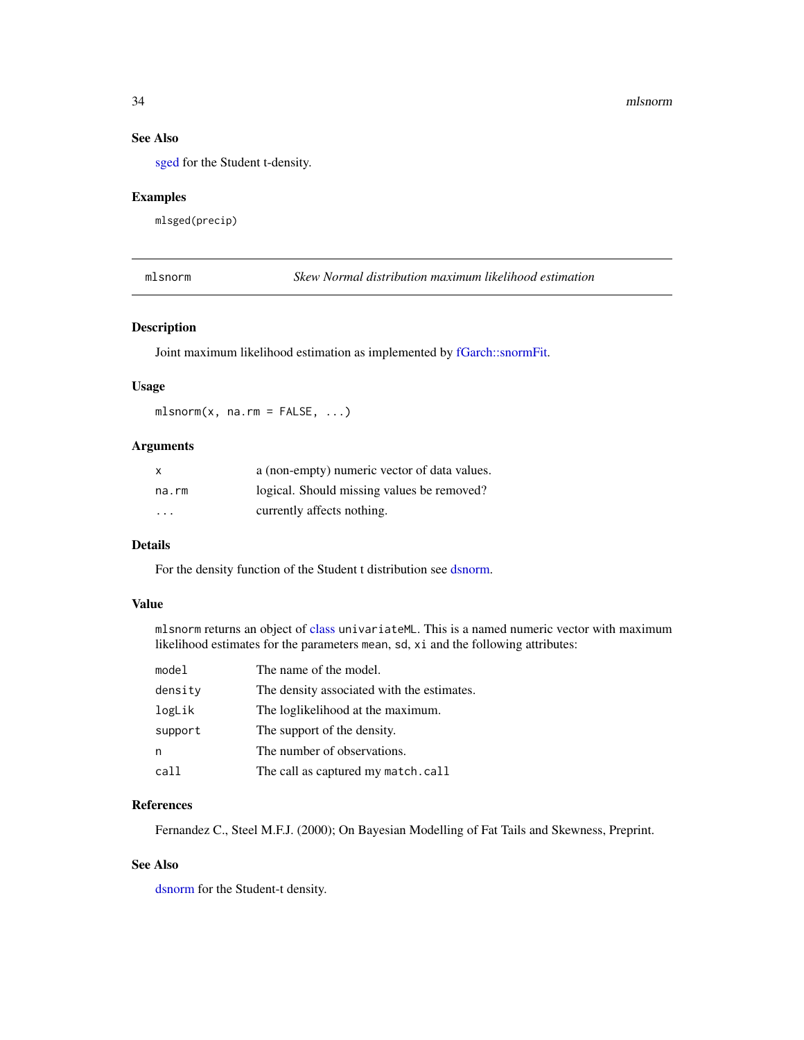### See Also

[sged](#page-0-0) for the Student t-density.

### Examples

mlsged(precip)

mlsnorm *Skew Normal distribution maximum likelihood estimation*

### Description

Joint maximum likelihood estimation as implemented by [fGarch::snormFit.](#page-0-0)

#### Usage

mlsnorm(x, na.rm = FALSE, ...)

#### Arguments

| $\mathsf{x}$ | a (non-empty) numeric vector of data values. |
|--------------|----------------------------------------------|
| na.rm        | logical. Should missing values be removed?   |
| .            | currently affects nothing.                   |

### Details

For the density function of the Student t distribution see [dsnorm.](#page-0-0)

#### Value

mlsnorm returns an object of [class](#page-0-0) univariateML. This is a named numeric vector with maximum likelihood estimates for the parameters mean, sd, xi and the following attributes:

| model   | The name of the model.                     |
|---------|--------------------------------------------|
| density | The density associated with the estimates. |
| logLik  | The loglikelihood at the maximum.          |
| support | The support of the density.                |
| n       | The number of observations.                |
| call    | The call as captured my match.call         |

### References

Fernandez C., Steel M.F.J. (2000); On Bayesian Modelling of Fat Tails and Skewness, Preprint.

### See Also

[dsnorm](#page-0-0) for the Student-t density.

<span id="page-33-0"></span>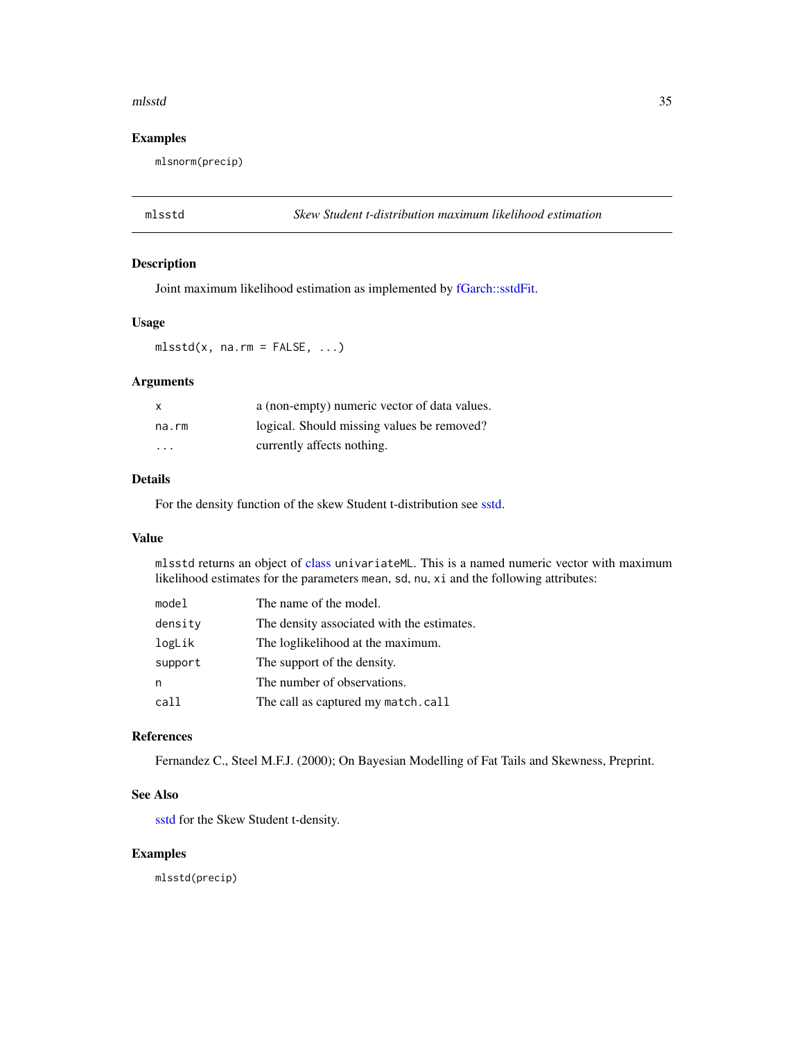#### <span id="page-34-0"></span>mlsstd 35

### Examples

mlsnorm(precip)

mlsstd *Skew Student t-distribution maximum likelihood estimation*

### Description

Joint maximum likelihood estimation as implemented by [fGarch::sstdFit.](#page-0-0)

### Usage

 $mlsstd(x, na.rm = FALSE, ...)$ 

### Arguments

| $\mathsf{x}$            | a (non-empty) numeric vector of data values. |
|-------------------------|----------------------------------------------|
| na.rm                   | logical. Should missing values be removed?   |
| $\cdot$ $\cdot$ $\cdot$ | currently affects nothing.                   |

### Details

For the density function of the skew Student t-distribution see [sstd.](#page-0-0)

### Value

mlsstd returns an object of [class](#page-0-0) univariateML. This is a named numeric vector with maximum likelihood estimates for the parameters mean, sd, nu, xi and the following attributes:

| model   | The name of the model.                     |
|---------|--------------------------------------------|
| density | The density associated with the estimates. |
| logLik  | The loglikelihood at the maximum.          |
| support | The support of the density.                |
| n       | The number of observations.                |
| call    | The call as captured my match.call         |

### References

Fernandez C., Steel M.F.J. (2000); On Bayesian Modelling of Fat Tails and Skewness, Preprint.

#### See Also

[sstd](#page-0-0) for the Skew Student t-density.

### Examples

mlsstd(precip)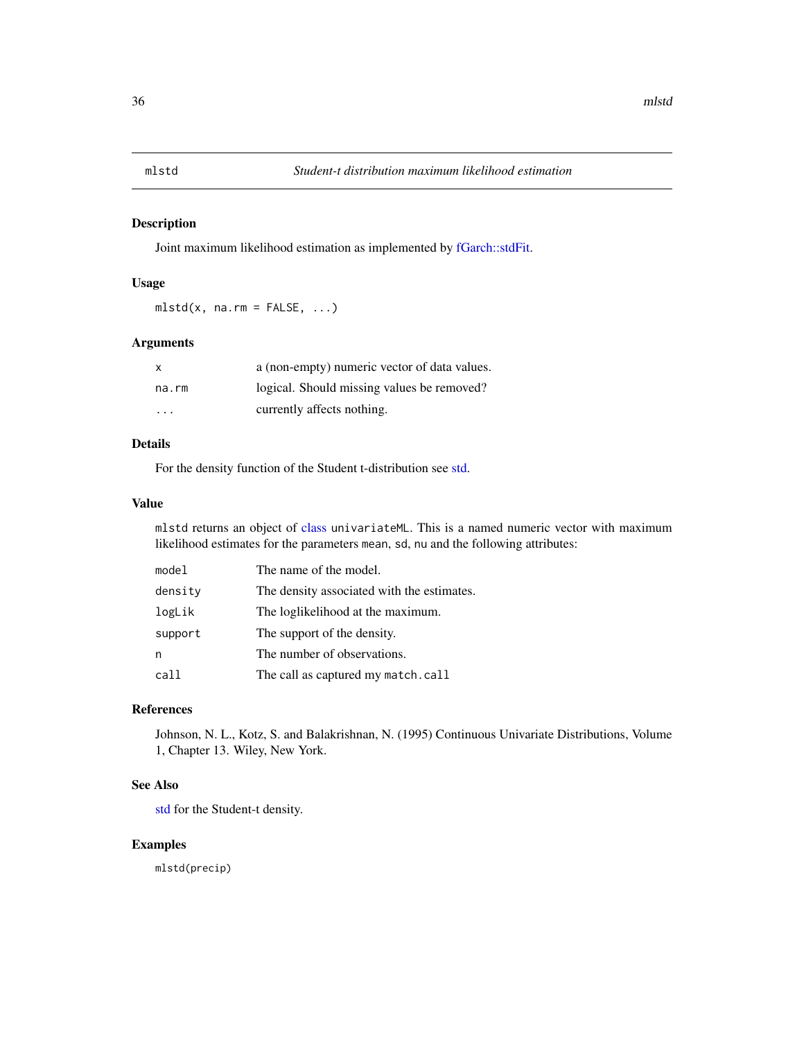<span id="page-35-0"></span>

Joint maximum likelihood estimation as implemented by [fGarch::stdFit.](#page-0-0)

#### Usage

 $mlstd(x, na.rm = FALSE, ...)$ 

### Arguments

| $\mathsf{x}$ | a (non-empty) numeric vector of data values. |
|--------------|----------------------------------------------|
| na.rm        | logical. Should missing values be removed?   |
| .            | currently affects nothing.                   |

### Details

For the density function of the Student t-distribution see [std.](#page-0-0)

### Value

mlstd returns an object of [class](#page-0-0) univariateML. This is a named numeric vector with maximum likelihood estimates for the parameters mean, sd, nu and the following attributes:

| The name of the model.                     |
|--------------------------------------------|
| The density associated with the estimates. |
| The loglikelihood at the maximum.          |
| The support of the density.                |
| The number of observations.                |
| The call as captured my match.call         |
|                                            |

#### References

Johnson, N. L., Kotz, S. and Balakrishnan, N. (1995) Continuous Univariate Distributions, Volume 1, Chapter 13. Wiley, New York.

### See Also

[std](#page-0-0) for the Student-t density.

### Examples

mlstd(precip)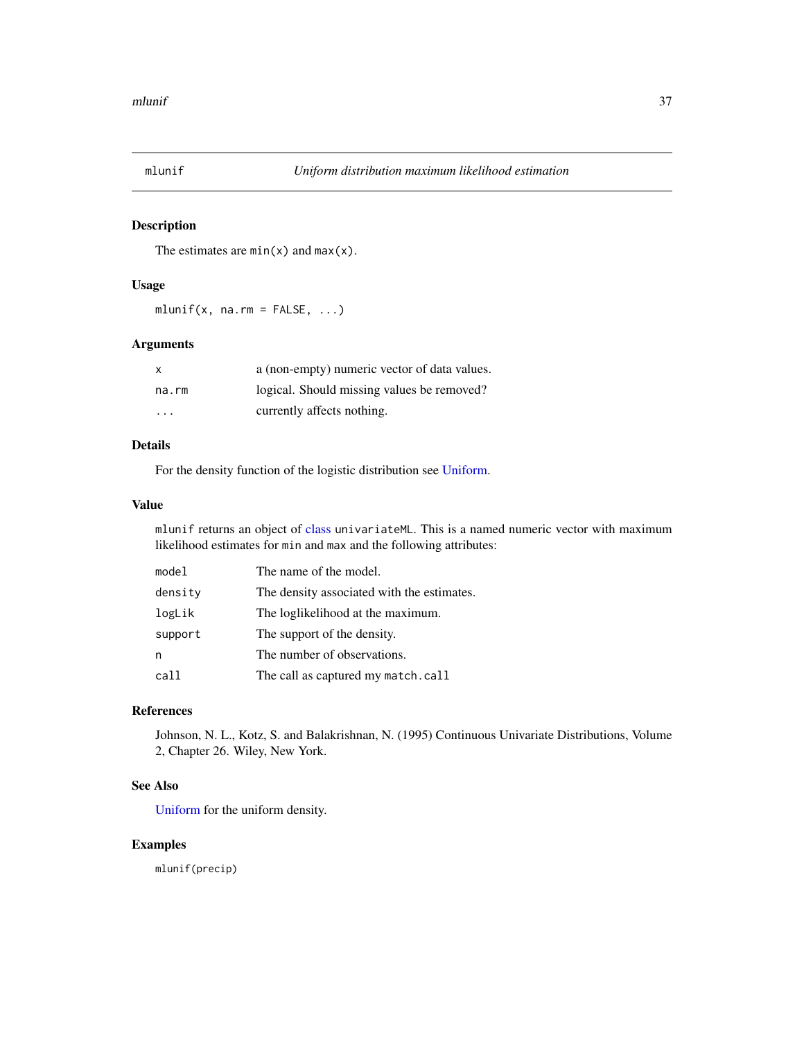<span id="page-36-0"></span>

The estimates are  $min(x)$  and  $max(x)$ .

#### Usage

 $mlunif(x, na.rm = FALSE, ...)$ 

### Arguments

| $\mathsf{x}$ | a (non-empty) numeric vector of data values. |
|--------------|----------------------------------------------|
| na.rm        | logical. Should missing values be removed?   |
| .            | currently affects nothing.                   |

### Details

For the density function of the logistic distribution see [Uniform.](#page-0-0)

### Value

mlunif returns an object of [class](#page-0-0) univariateML. This is a named numeric vector with maximum likelihood estimates for min and max and the following attributes:

| model   | The name of the model.                     |
|---------|--------------------------------------------|
| density | The density associated with the estimates. |
| logLik  | The loglikelihood at the maximum.          |
| support | The support of the density.                |
| n       | The number of observations.                |
| call    | The call as captured my match.call         |

#### References

Johnson, N. L., Kotz, S. and Balakrishnan, N. (1995) Continuous Univariate Distributions, Volume 2, Chapter 26. Wiley, New York.

### See Also

[Uniform](#page-0-0) for the uniform density.

### Examples

mlunif(precip)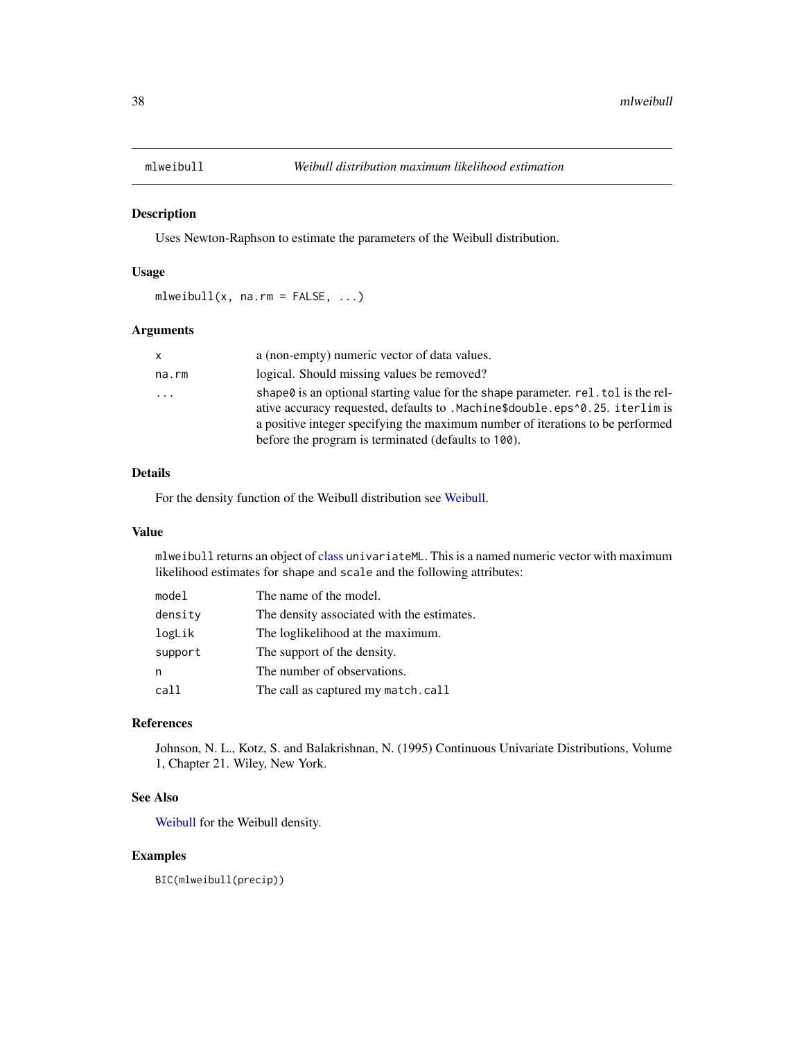<span id="page-37-1"></span><span id="page-37-0"></span>

Uses Newton-Raphson to estimate the parameters of the Weibull distribution.

### Usage

 $mlweibull(x, na.rm = FALSE, ...)$ 

### Arguments

| <b>X</b> | a (non-empty) numeric vector of data values.                                                                                                                                                                                                                                                              |
|----------|-----------------------------------------------------------------------------------------------------------------------------------------------------------------------------------------------------------------------------------------------------------------------------------------------------------|
| na.rm    | logical. Should missing values be removed?                                                                                                                                                                                                                                                                |
| $\ddots$ | shape is an optional starting value for the shape parameter. rel. tol is the rel-<br>ative accuracy requested, defaults to .Machine\$double.eps^0.25. iterlim is<br>a positive integer specifying the maximum number of iterations to be performed<br>before the program is terminated (defaults to 100). |

### Details

For the density function of the Weibull distribution see [Weibull.](#page-0-0)

#### Value

mlweibull returns an object of [class](#page-0-0) univariateML. This is a named numeric vector with maximum likelihood estimates for shape and scale and the following attributes:

| model   | The name of the model.                     |
|---------|--------------------------------------------|
| density | The density associated with the estimates. |
| logLik  | The loglikelihood at the maximum.          |
| support | The support of the density.                |
| n       | The number of observations.                |
| call    | The call as captured my match.call         |

### References

Johnson, N. L., Kotz, S. and Balakrishnan, N. (1995) Continuous Univariate Distributions, Volume 1, Chapter 21. Wiley, New York.

#### See Also

[Weibull](#page-0-0) for the Weibull density.

#### Examples

BIC(mlweibull(precip))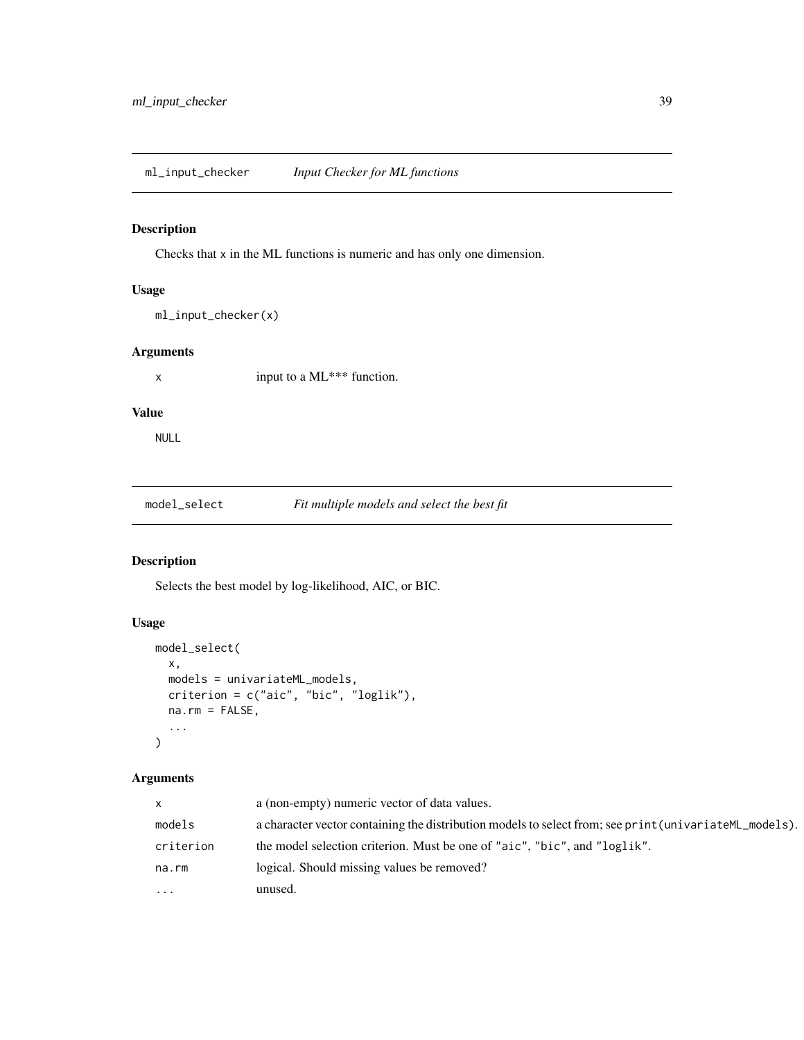<span id="page-38-0"></span>Checks that x in the ML functions is numeric and has only one dimension.

### Usage

ml\_input\_checker(x)

### Arguments

x input to a ML\*\*\* function.

### Value

NULL

model\_select *Fit multiple models and select the best fit*

### Description

Selects the best model by log-likelihood, AIC, or BIC.

### Usage

```
model_select(
 x,
 models = univariateML_models,
 criterion = c("aic", "bic", "loglik"),
 na.rm = FALSE,
  ...
)
```

| $\mathsf{x}$ | a (non-empty) numeric vector of data values.                                                            |
|--------------|---------------------------------------------------------------------------------------------------------|
| models       | a character vector containing the distribution models to select from; see print (univariate ML_models). |
| criterion    | the model selection criterion. Must be one of "aic", "bic", and "loglik".                               |
| na.rm        | logical. Should missing values be removed?                                                              |
| $\ddots$ .   | unused.                                                                                                 |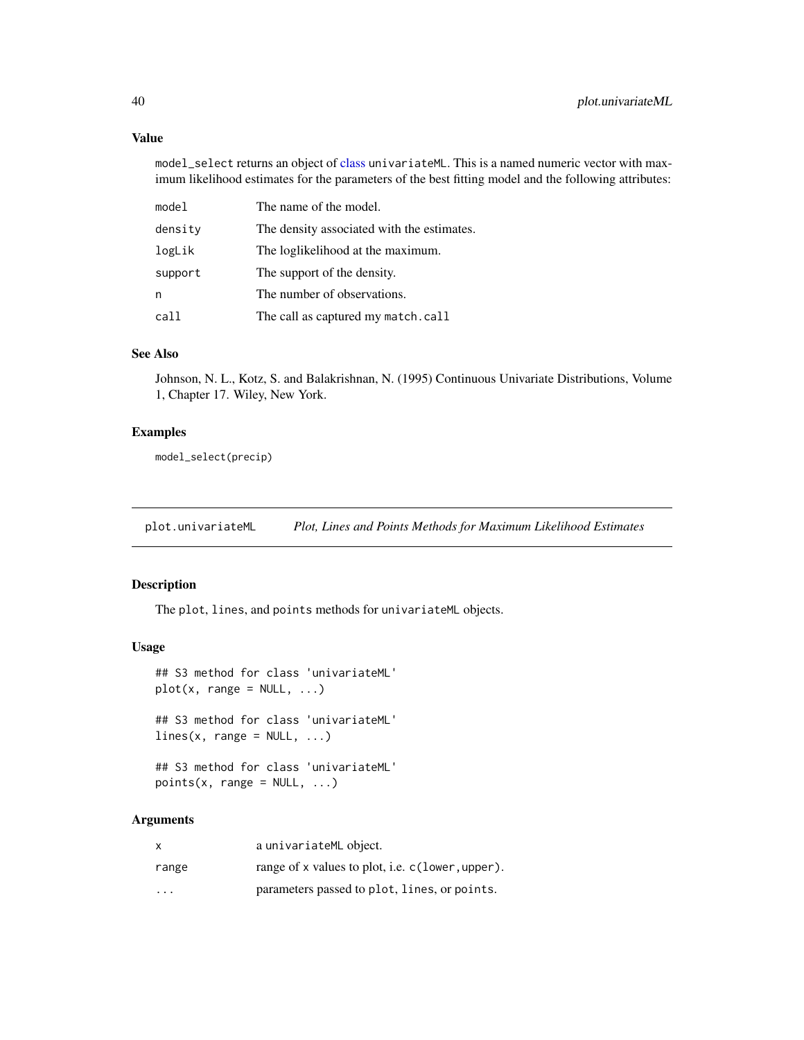#### Value

model\_select returns an object of [class](#page-0-0) univariateML. This is a named numeric vector with maximum likelihood estimates for the parameters of the best fitting model and the following attributes:

| model   | The name of the model.                     |
|---------|--------------------------------------------|
| density | The density associated with the estimates. |
| logLik  | The loglikelihood at the maximum.          |
| support | The support of the density.                |
| n       | The number of observations.                |
| call    | The call as captured my match.call         |

### See Also

Johnson, N. L., Kotz, S. and Balakrishnan, N. (1995) Continuous Univariate Distributions, Volume 1, Chapter 17. Wiley, New York.

### Examples

model\_select(precip)

plot.univariateML *Plot, Lines and Points Methods for Maximum Likelihood Estimates*

### Description

The plot, lines, and points methods for univariateML objects.

#### Usage

```
## S3 method for class 'univariateML'
plot(x, range = NULL, ...)## S3 method for class 'univariateML'
lines(x, range = NULL, ...)## S3 method for class 'univariateML'
```

```
points(x, range = NULL, ...)
```

| X                       | a univariateML object.                           |
|-------------------------|--------------------------------------------------|
| range                   | range of x values to plot, i.e. c(lower, upper). |
| $\cdot$ $\cdot$ $\cdot$ | parameters passed to plot, lines, or points.     |

<span id="page-39-0"></span>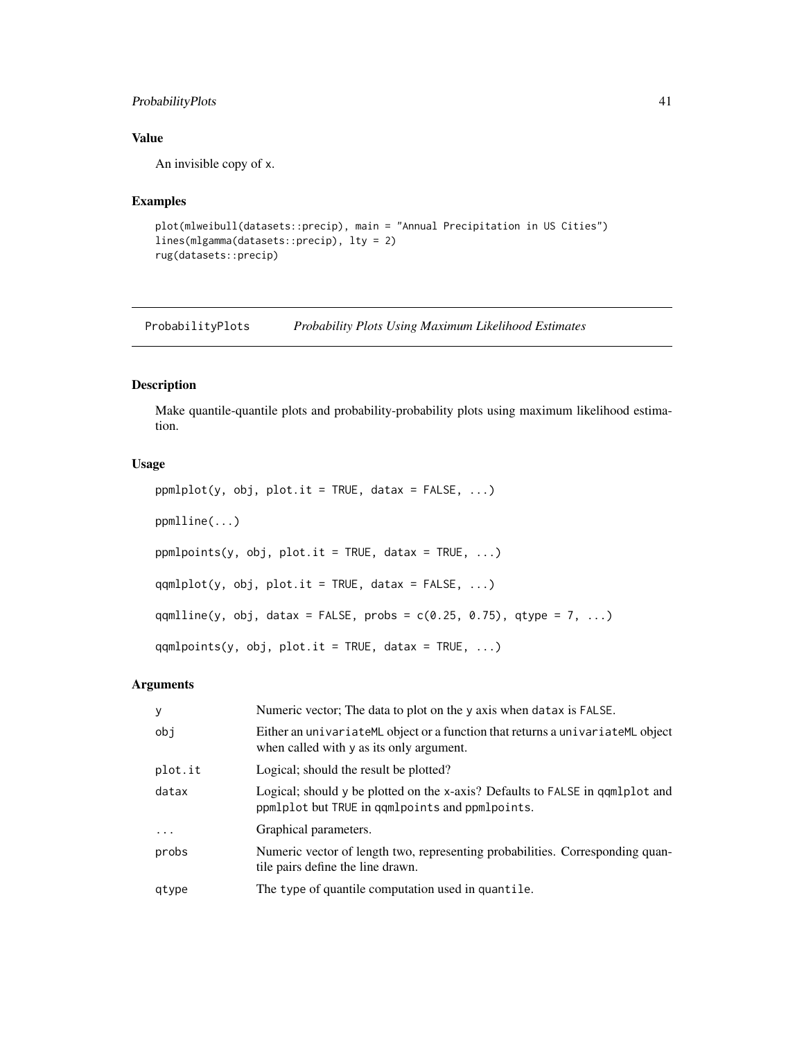### <span id="page-40-0"></span>ProbabilityPlots 41

### Value

An invisible copy of x.

### Examples

```
plot(mlweibull(datasets::precip), main = "Annual Precipitation in US Cities")
lines(mlgamma(datasets::precip), lty = 2)
rug(datasets::precip)
```
ProbabilityPlots *Probability Plots Using Maximum Likelihood Estimates*

### Description

Make quantile-quantile plots and probability-probability plots using maximum likelihood estimation.

### Usage

```
ppmlplot(y, obj, plot.it = TRUE, datax = FALSE, ...)ppmlline(...)
ppmlpoints(y, obj, plot.it = TRUE, data = TRUE, ...)qqmlplot(y, obj, plot.it = TRUE, data = FALSE, ...)qqmlline(y, obj, datax = FALSE, probs = c(0.25, 0.75), qtype = 7, ...)
qqmlpoints(y, obj, plot.it = TRUE, datax = TRUE, ...)
```

| y       | Numeric vector; The data to plot on the y axis when datax is FALSE.                                                              |
|---------|----------------------------------------------------------------------------------------------------------------------------------|
| obj     | Either an univariateML object or a function that returns a univariateML object<br>when called with y as its only argument.       |
| plot.it | Logical; should the result be plotted?                                                                                           |
| datax   | Logical; should y be plotted on the x-axis? Defaults to FALSE in qqmlplot and<br>ppmlplot but TRUE in qqmlpoints and ppmlpoints. |
| .       | Graphical parameters.                                                                                                            |
| probs   | Numeric vector of length two, representing probabilities. Corresponding quan-<br>tile pairs define the line drawn.               |
| gtype   | The type of quantile computation used in quantile.                                                                               |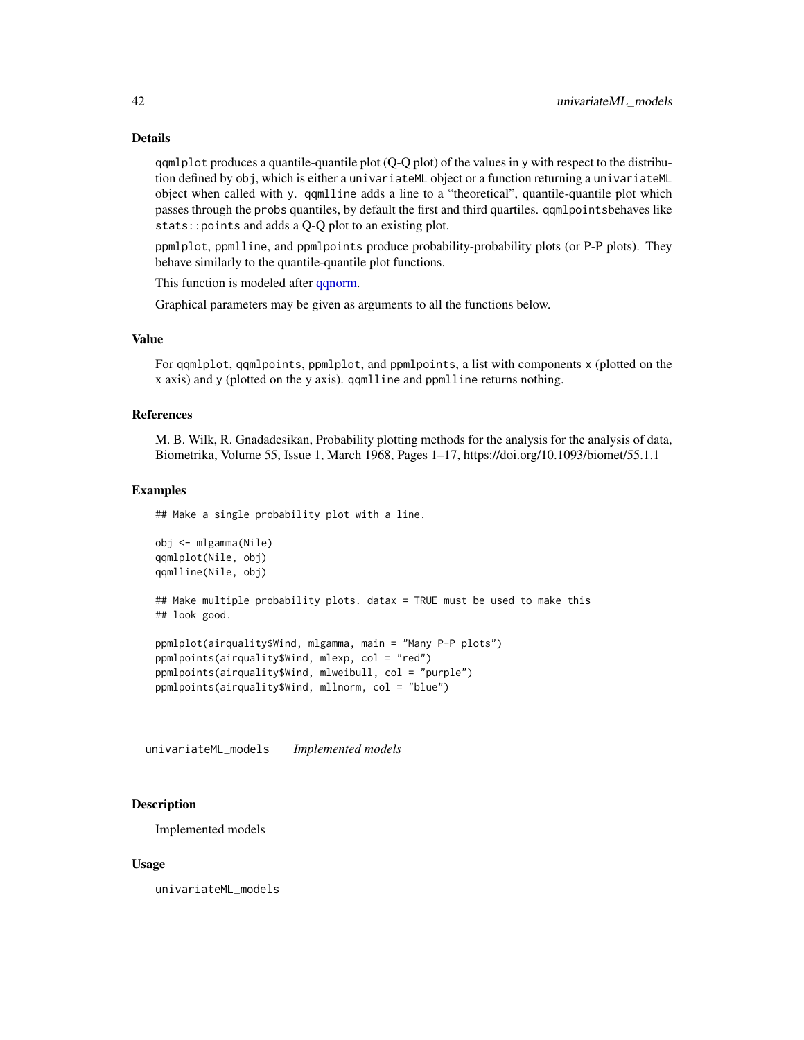#### Details

qqmlplot produces a quantile-quantile plot (Q-Q plot) of the values in y with respect to the distribution defined by obj, which is either a univariateML object or a function returning a univariateML object when called with y. qqmlline adds a line to a "theoretical", quantile-quantile plot which passes through the probs quantiles, by default the first and third quartiles. qqmlpointsbehaves like stats::points and adds a Q-Q plot to an existing plot.

ppmlplot, ppmlline, and ppmlpoints produce probability-probability plots (or P-P plots). They behave similarly to the quantile-quantile plot functions.

This function is modeled after [qqnorm.](#page-0-0)

Graphical parameters may be given as arguments to all the functions below.

#### Value

For qqmlplot, qqmlpoints, ppmlplot, and ppmlpoints, a list with components x (plotted on the x axis) and y (plotted on the y axis). qqmlline and ppmlline returns nothing.

#### References

M. B. Wilk, R. Gnadadesikan, Probability plotting methods for the analysis for the analysis of data, Biometrika, Volume 55, Issue 1, March 1968, Pages 1–17, https://doi.org/10.1093/biomet/55.1.1

#### Examples

## Make a single probability plot with a line.

```
obj <- mlgamma(Nile)
qqmlplot(Nile, obj)
qqmlline(Nile, obj)
## Make multiple probability plots. datax = TRUE must be used to make this
## look good.
ppmlplot(airquality$Wind, mlgamma, main = "Many P-P plots")
ppmlpoints(airquality$Wind, mlexp, col = "red")
ppmlpoints(airquality$Wind, mlweibull, col = "purple")
ppmlpoints(airquality$Wind, mllnorm, col = "blue")
```
univariateML\_models *Implemented models*

#### **Description**

Implemented models

#### Usage

univariateML\_models

<span id="page-41-0"></span>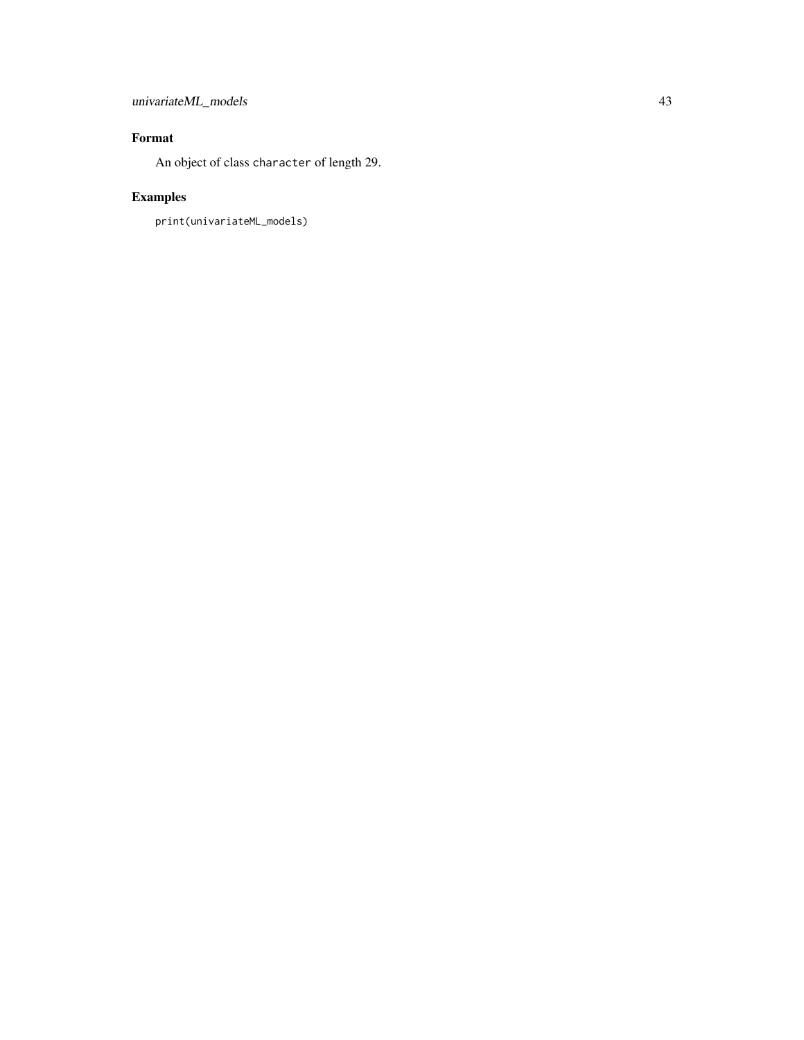### univariateML\_models 43

### Format

An object of class character of length 29.

## Examples

```
print(univariateML_models)
```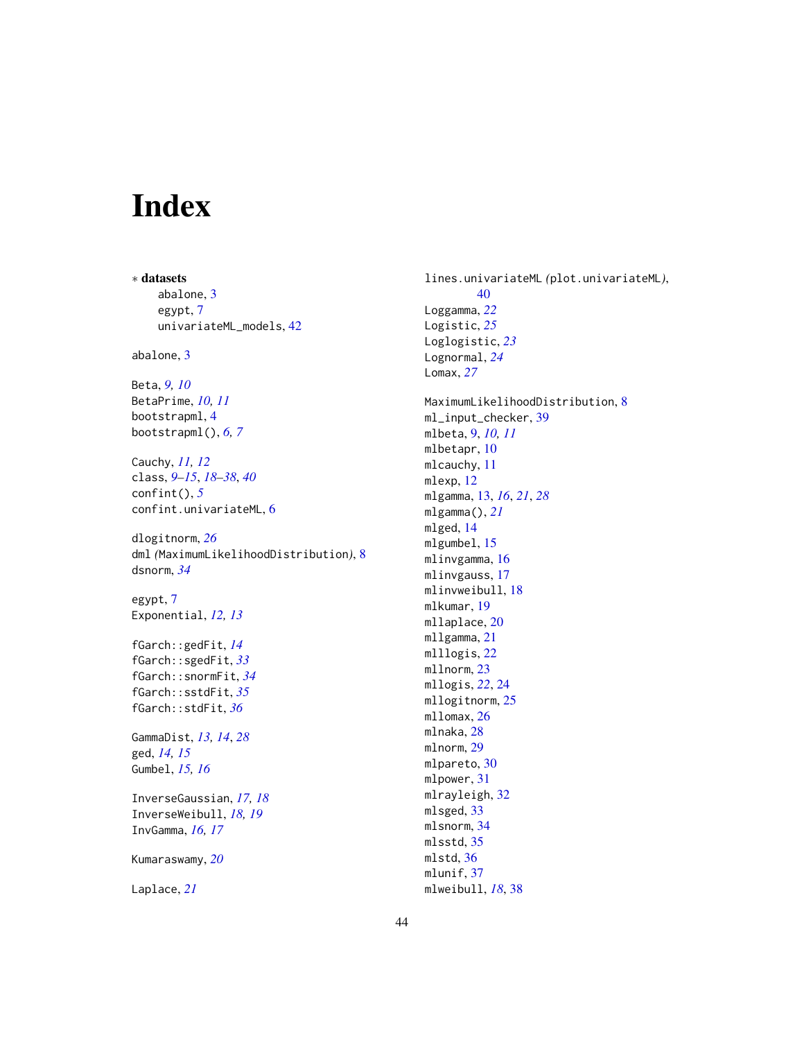## <span id="page-43-0"></span>Index

∗ datasets abalone, [3](#page-2-0) egypt, [7](#page-6-0) univariateML\_models, [42](#page-41-0) abalone, [3](#page-2-0) Beta, *[9,](#page-8-0) [10](#page-9-0)* BetaPrime, *[10,](#page-9-0) [11](#page-10-0)* bootstrapml, [4](#page-3-0) bootstrapml(), *[6,](#page-5-0) [7](#page-6-0)* Cauchy, *[11,](#page-10-0) [12](#page-11-0)* class, *[9](#page-8-0)[–15](#page-14-0)*, *[18](#page-17-0)[–38](#page-37-0)*, *[40](#page-39-0)* confint(), *[5](#page-4-0)* confint.univariateML, [6](#page-5-0) dlogitnorm, *[26](#page-25-0)* dml *(*MaximumLikelihoodDistribution*)*, [8](#page-7-0) dsnorm, *[34](#page-33-0)* egypt, [7](#page-6-0) Exponential, *[12,](#page-11-0) [13](#page-12-0)* fGarch::gedFit, *[14](#page-13-0)* fGarch::sgedFit, *[33](#page-32-0)* fGarch::snormFit, *[34](#page-33-0)* fGarch::sstdFit, *[35](#page-34-0)* fGarch::stdFit, *[36](#page-35-0)* GammaDist, *[13,](#page-12-0) [14](#page-13-0)*, *[28](#page-27-0)* ged, *[14,](#page-13-0) [15](#page-14-0)* Gumbel, *[15,](#page-14-0) [16](#page-15-0)* InverseGaussian, *[17,](#page-16-0) [18](#page-17-0)* InverseWeibull, *[18,](#page-17-0) [19](#page-18-0)* InvGamma, *[16,](#page-15-0) [17](#page-16-0)* Kumaraswamy, *[20](#page-19-0)* Laplace, *[21](#page-20-0)*

lines.univariateML *(*plot.univariateML*)*, [40](#page-39-0) Loggamma, *[22](#page-21-0)* Logistic, *[25](#page-24-0)* Loglogistic, *[23](#page-22-0)* Lognormal, *[24](#page-23-0)* Lomax, *[27](#page-26-0)* MaximumLikelihoodDistribution, [8](#page-7-0) ml\_input\_checker, [39](#page-38-0) mlbeta, [9,](#page-8-0) *[10,](#page-9-0) [11](#page-10-0)* mlbetapr, [10](#page-9-0) mlcauchy, [11](#page-10-0) mlexp, [12](#page-11-0) mlgamma, [13,](#page-12-0) *[16](#page-15-0)*, *[21](#page-20-0)*, *[28](#page-27-0)* mlgamma(), *[21](#page-20-0)* mlged, [14](#page-13-0) mlgumbel, [15](#page-14-0) mlinvgamma, [16](#page-15-0) mlinvgauss, [17](#page-16-0) mlinvweibull, [18](#page-17-0) mlkumar, [19](#page-18-0) mllaplace, [20](#page-19-0) mllgamma, [21](#page-20-0) mlllogis, [22](#page-21-0) mllnorm, [23](#page-22-0) mllogis, *[22](#page-21-0)*, [24](#page-23-0) mllogitnorm, [25](#page-24-0) mllomax, [26](#page-25-0) mlnaka, [28](#page-27-0) mlnorm, [29](#page-28-0) mlpareto, [30](#page-29-0) mlpower, [31](#page-30-0) mlrayleigh, [32](#page-31-0) mlsged, [33](#page-32-0) mlsnorm, [34](#page-33-0) mlsstd, [35](#page-34-0) mlstd, [36](#page-35-0) mlunif, [37](#page-36-0) mlweibull, *[18](#page-17-0)*, [38](#page-37-0)